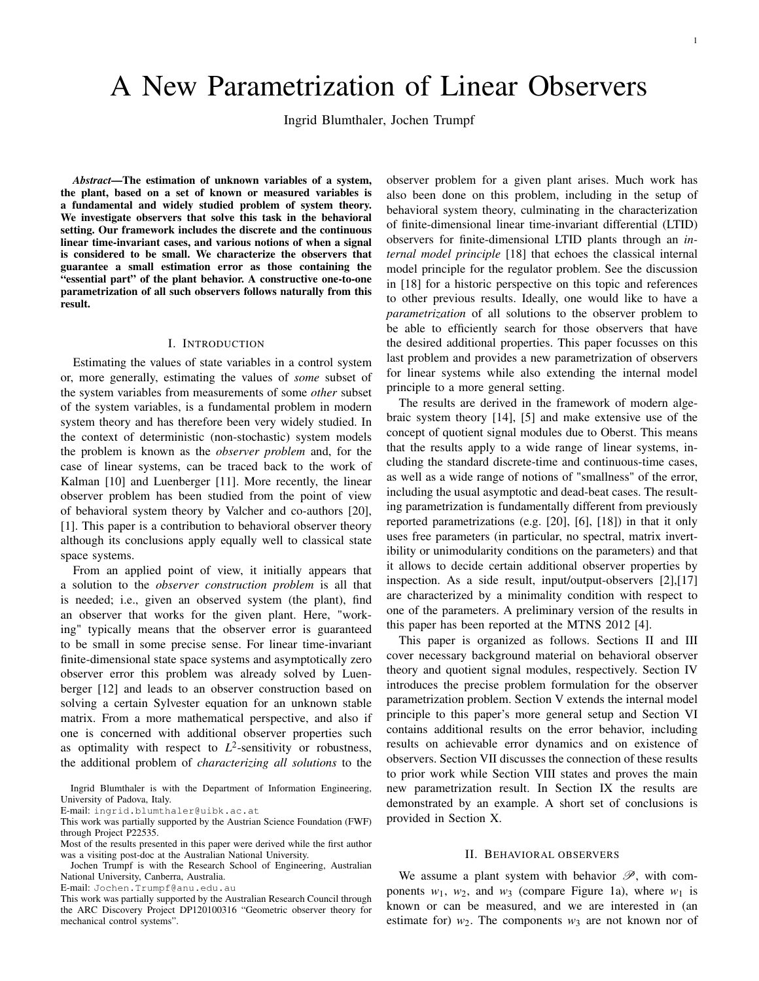# A New Parametrization of Linear Observers

Ingrid Blumthaler, Jochen Trumpf

*Abstract*—The estimation of unknown variables of a system, the plant, based on a set of known or measured variables is a fundamental and widely studied problem of system theory. We investigate observers that solve this task in the behavioral setting. Our framework includes the discrete and the continuous linear time-invariant cases, and various notions of when a signal is considered to be small. We characterize the observers that guarantee a small estimation error as those containing the "essential part" of the plant behavior. A constructive one-to-one parametrization of all such observers follows naturally from this result.

#### I. INTRODUCTION

Estimating the values of state variables in a control system or, more generally, estimating the values of *some* subset of the system variables from measurements of some *other* subset of the system variables, is a fundamental problem in modern system theory and has therefore been very widely studied. In the context of deterministic (non-stochastic) system models the problem is known as the *observer problem* and, for the case of linear systems, can be traced back to the work of Kalman [\[10\]](#page-9-0) and Luenberger [\[11\]](#page-9-1). More recently, the linear observer problem has been studied from the point of view of behavioral system theory by Valcher and co-authors [\[20\]](#page-9-2), [\[1\]](#page-9-3). This paper is a contribution to behavioral observer theory although its conclusions apply equally well to classical state space systems.

From an applied point of view, it initially appears that a solution to the *observer construction problem* is all that is needed; i.e., given an observed system (the plant), find an observer that works for the given plant. Here, "working" typically means that the observer error is guaranteed to be small in some precise sense. For linear time-invariant finite-dimensional state space systems and asymptotically zero observer error this problem was already solved by Luenberger [\[12\]](#page-9-4) and leads to an observer construction based on solving a certain Sylvester equation for an unknown stable matrix. From a more mathematical perspective, and also if one is concerned with additional observer properties such as optimality with respect to  $L^2$ -sensitivity or robustness, the additional problem of *characterizing all solutions* to the

Ingrid Blumthaler is with the Department of Information Engineering, University of Padova, Italy.

E-mail: ingrid.blumthaler@uibk.ac.at

This work was partially supported by the Austrian Science Foundation (FWF) through Project P22535.

Jochen Trumpf is with the Research School of Engineering, Australian National University, Canberra, Australia.

E-mail: Jochen.Trumpf@anu.edu.au

observer problem for a given plant arises. Much work has also been done on this problem, including in the setup of behavioral system theory, culminating in the characterization of finite-dimensional linear time-invariant differential (LTID) observers for finite-dimensional LTID plants through an *internal model principle* [\[18\]](#page-9-5) that echoes the classical internal model principle for the regulator problem. See the discussion in [\[18\]](#page-9-5) for a historic perspective on this topic and references to other previous results. Ideally, one would like to have a *parametrization* of all solutions to the observer problem to be able to efficiently search for those observers that have the desired additional properties. This paper focusses on this last problem and provides a new parametrization of observers for linear systems while also extending the internal model principle to a more general setting.

The results are derived in the framework of modern algebraic system theory [\[14\]](#page-9-6), [\[5\]](#page-9-7) and make extensive use of the concept of quotient signal modules due to Oberst. This means that the results apply to a wide range of linear systems, including the standard discrete-time and continuous-time cases, as well as a wide range of notions of "smallness" of the error, including the usual asymptotic and dead-beat cases. The resulting parametrization is fundamentally different from previously reported parametrizations (e.g. [\[20\]](#page-9-2), [\[6\]](#page-9-8), [\[18\]](#page-9-5)) in that it only uses free parameters (in particular, no spectral, matrix invertibility or unimodularity conditions on the parameters) and that it allows to decide certain additional observer properties by inspection. As a side result, input/output-observers [\[2\]](#page-9-9),[\[17\]](#page-9-10) are characterized by a minimality condition with respect to one of the parameters. A preliminary version of the results in this paper has been reported at the MTNS 2012 [\[4\]](#page-9-11).

This paper is organized as follows. Sections [II](#page-0-0) and [III](#page-1-0) cover necessary background material on behavioral observer theory and quotient signal modules, respectively. Section [IV](#page-3-0) introduces the precise problem formulation for the observer parametrization problem. Section [V](#page-3-1) extends the internal model principle to this paper's more general setup and Section [VI](#page-4-0) contains additional results on the error behavior, including results on achievable error dynamics and on existence of observers. Section [VII](#page-5-0) discusses the connection of these results to prior work while Section [VIII](#page-6-0) states and proves the main new parametrization result. In Section [IX](#page-8-0) the results are demonstrated by an example. A short set of conclusions is provided in Section [X.](#page-9-12)

#### II. BEHAVIORAL OBSERVERS

<span id="page-0-0"></span>We assume a plant system with behavior  $\mathcal{P}$ , with components  $w_1$ ,  $w_2$ , and  $w_3$  (compare Figure [1a\)](#page-1-1), where  $w_1$  is known or can be measured, and we are interested in (an estimate for)  $w_2$ . The components  $w_3$  are not known nor of

Most of the results presented in this paper were derived while the first author was a visiting post-doc at the Australian National University.

This work was partially supported by the Australian Research Council through the ARC Discovery Project DP120100316 "Geometric observer theory for mechanical control systems".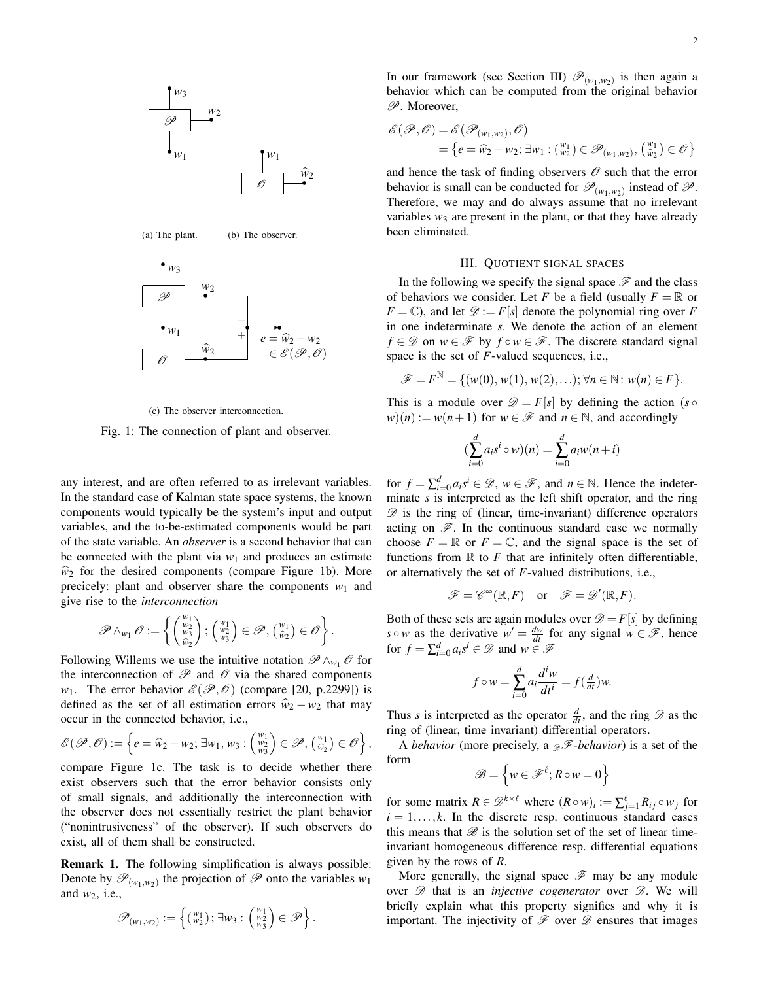<span id="page-1-3"></span><span id="page-1-2"></span><span id="page-1-1"></span>

(c) The observer interconnection.

Fig. 1: The connection of plant and observer.

any interest, and are often referred to as irrelevant variables. In the standard case of Kalman state space systems, the known components would typically be the system's input and output variables, and the to-be-estimated components would be part of the state variable. An *observer* is a second behavior that can be connected with the plant via  $w_1$  and produces an estimate  $\hat{w}_2$  for the desired components (compare Figure [1b\)](#page-1-2). More precicely: plant and observer share the components  $w_1$  and give rise to the *interconnection*

$$
\mathscr{P}\wedge_{w_1}\mathscr{O}:=\left\{\left(\begin{smallmatrix}w_1\\w_2\\w_3\\ \widehat{w}_2\end{smallmatrix}\right);\left(\begin{smallmatrix}w_1\\w_2\\w_3\end{smallmatrix}\right)\in\mathscr{P},\left(\begin{smallmatrix}w_1\\ \widehat{w}_2\end{smallmatrix}\right)\in\mathscr{O}\right\}.
$$

Following Willems we use the intuitive notation  $\mathscr{P} \wedge_{w_1} \mathscr{O}$  for the interconnection of  $\mathscr P$  and  $\mathscr O$  via the shared components *w*<sub>1</sub>. The error behavior  $\mathscr{E}(\mathscr{P}, \mathscr{O})$  (compare [\[20,](#page-9-2) p.2299]) is defined as the set of all estimation errors  $\hat{w}_2 - w_2$  that may occur in the connected behavior, i.e.,

$$
\mathscr{E}(\mathscr{P},\mathscr{O}) := \left\{ e = \widehat{w}_2 - w_2; \exists w_1, w_3 : \begin{pmatrix} w_1 \\ w_2 \\ w_3 \end{pmatrix} \in \mathscr{P}, \begin{pmatrix} w_1 \\ \widehat{w}_2 \end{pmatrix} \in \mathscr{O} \right\},\
$$

compare Figure [1c.](#page-1-3) The task is to decide whether there exist observers such that the error behavior consists only of small signals, and additionally the interconnection with the observer does not essentially restrict the plant behavior ("nonintrusiveness" of the observer). If such observers do exist, all of them shall be constructed.

Remark 1. The following simplification is always possible: Denote by  $\mathscr{P}_{(w_1,w_2)}$  the projection of  $\mathscr{P}$  onto the variables  $w_1$ and  $w_2$ , i.e.,

$$
\mathscr{P}_{(w_1,w_2)}:=\left\{ \left(\begin{smallmatrix} w_1\\ w_2\end{smallmatrix}\right);\exists w_3: \left(\begin{smallmatrix} w_1\\ w_2\\ w_3\end{smallmatrix}\right)\in\mathscr{P}\right\}.
$$

In our framework (see Section [III\)](#page-1-0)  $\mathscr{P}_{(w_1,w_2)}$  is then again a behavior which can be computed from the original behavior P. Moreover,

$$
\mathcal{E}(\mathcal{P}, \mathcal{O}) = \mathcal{E}(\mathcal{P}_{(w_1, w_2)}, \mathcal{O})
$$
  
=  $\{e = \widehat{w}_2 - w_2; \exists w_1 : {w_1 \choose w_2} \in \mathcal{P}_{(w_1, w_2)}, {w_1 \choose \widehat{w}_2} \in \mathcal{O}\}\$ 

and hence the task of finding observers  $\mathscr O$  such that the error behavior is small can be conducted for  $\mathcal{P}_{(w_1,w_2)}$  instead of  $\mathcal{P}$ . Therefore, we may and do always assume that no irrelevant variables  $w_3$  are present in the plant, or that they have already been eliminated.

#### III. QUOTIENT SIGNAL SPACES

<span id="page-1-0"></span>In the following we specify the signal space  $\mathcal F$  and the class of behaviors we consider. Let *F* be a field (usually  $F = \mathbb{R}$  or  $F = \mathbb{C}$ , and let  $\mathscr{D} := F[s]$  denote the polynomial ring over *F* in one indeterminate *s*. We denote the action of an element  $f \in \mathcal{D}$  on  $w \in \mathcal{F}$  by  $f \circ w \in \mathcal{F}$ . The discrete standard signal space is the set of *F*-valued sequences, i.e.,

$$
\mathscr{F}=F^{\mathbb{N}}=\{(w(0),w(1),w(2),\ldots); \forall n\in\mathbb{N}: w(n)\in F\}.
$$

This is a module over  $\mathcal{D} = F[s]$  by defining the action (*s*  $\circ$  $w(n) := w(n+1)$  for  $w \in \mathcal{F}$  and  $n \in \mathbb{N}$ , and accordingly

$$
(\sum_{i=0}^{d} a_i s^i \circ w)(n) = \sum_{i=0}^{d} a_i w(n+i)
$$

for  $f = \sum_{i=0}^{d} a_i s^i \in \mathcal{D}$ ,  $w \in \mathcal{F}$ , and  $n \in \mathbb{N}$ . Hence the indeterminate *s* is interpreted as the left shift operator, and the ring  $\mathscr{D}$  is the ring of (linear, time-invariant) difference operators acting on  $\mathscr{F}$ . In the continuous standard case we normally choose  $F = \mathbb{R}$  or  $F = \mathbb{C}$ , and the signal space is the set of functions from  $\mathbb R$  to  $F$  that are infinitely often differentiable, or alternatively the set of *F*-valued distributions, i.e.,

$$
\mathscr{F} = \mathscr{C}^{\infty}(\mathbb{R}, F) \quad \text{or} \quad \mathscr{F} = \mathscr{D}'(\mathbb{R}, F).
$$

Both of these sets are again modules over  $\mathcal{D} = F[s]$  by defining *s*  $\circ$  *w* as the derivative  $w' = \frac{dw}{dt}$  for any signal  $w \in \mathcal{F}$ , hence for  $f = \sum_{i=0}^{d} a_i s^i \in \mathcal{D}$  and  $w \in \mathcal{F}$ 

$$
f \circ w = \sum_{i=0}^{d} a_i \frac{d^i w}{dt^i} = f(\frac{d}{dt})w.
$$

Thus *s* is interpreted as the operator  $\frac{d}{dt}$ , and the ring  $\mathscr D$  as the ring of (linear, time invariant) differential operators.

A *behavior* (more precisely, a  $\mathscr{F}$ *-behavior*) is a set of the form

$$
\mathscr{B} = \left\{ w \in \mathscr{F}^\ell; R \circ w = 0 \right\}
$$

for some matrix  $R \in \mathcal{D}^{k \times \ell}$  where  $(R \circ w)_i := \sum_{j=1}^{\ell} R_{ij} \circ w_j$  for  $i = 1, \ldots, k$ . In the discrete resp. continuous standard cases this means that  $\mathscr B$  is the solution set of the set of linear timeinvariant homogeneous difference resp. differential equations given by the rows of *R*.

More generally, the signal space  $\mathscr F$  may be any module over  $\mathscr D$  that is an *injective cogenerator* over  $\mathscr D$ . We will briefly explain what this property signifies and why it is important. The injectivity of  $\mathscr F$  over  $\mathscr D$  ensures that images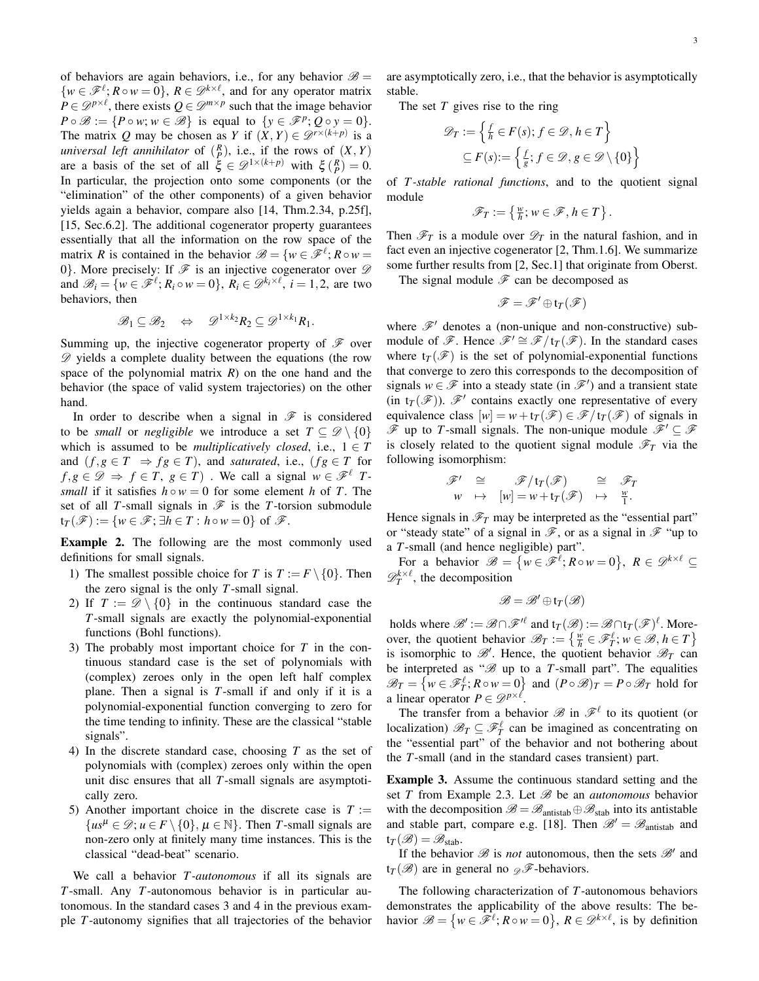of behaviors are again behaviors, i.e., for any behavior  $\mathscr{B} =$  $\{w \in \mathscr{F}^{\ell}; R \circ w = 0\}, R \in \mathscr{D}^{k \times \ell}$ , and for any operator matrix  $P \in \mathcal{D}^{p \times \ell}$ , there exists  $Q \in \mathcal{D}^{m \times p}$  such that the image behavior  $P \circ \mathcal{B} := \{ P \circ w; w \in \mathcal{B} \}$  is equal to  $\{ y \in \mathcal{F}^p; Q \circ y = 0 \}.$ The matrix Q may be chosen as Y if  $(X, Y) \in \mathcal{D}^{r \times (k+p)}$  is a *universal left annihilator* of  $\binom{R}{P}$ , i.e., if the rows of  $(X, Y)$ are a basis of the set of all  $\xi \in \mathcal{D}^{1 \times (k+p)}$  with  $\xi {R \choose P} = 0$ . In particular, the projection onto some components (or the "elimination" of the other components) of a given behavior yields again a behavior, compare also [\[14,](#page-9-6) Thm.2.34, p.25f], [\[15,](#page-9-13) Sec.6.2]. The additional cogenerator property guarantees essentially that all the information on the row space of the matrix *R* is contained in the behavior  $\mathcal{B} = \{w \in \mathcal{F}^{\ell}; R \circ w =$ 0}. More precisely: If  $\mathscr F$  is an injective cogenerator over  $\mathscr D$ and  $\mathscr{B}_i = \{ w \in \mathscr{F}^{\ell}; R_i \circ w = 0 \}, R_i \in \mathscr{D}^{k_i \times \ell}, i = 1, 2$ , are two behaviors, then

$$
\mathscr{B}_1 \subseteq \mathscr{B}_2 \quad \Leftrightarrow \quad \mathscr{D}^{1 \times k_2} R_2 \subseteq \mathscr{D}^{1 \times k_1} R_1.
$$

Summing up, the injective cogenerator property of  $\mathscr F$  over  $\mathscr{D}$  yields a complete duality between the equations (the row space of the polynomial matrix *R*) on the one hand and the behavior (the space of valid system trajectories) on the other hand.

In order to describe when a signal in  $\mathscr F$  is considered to be *small* or *negligible* we introduce a set  $T \subseteq \mathcal{D} \setminus \{0\}$ which is assumed to be *multiplicatively closed*, i.e.,  $1 \in T$ and  $(f, g \in T \Rightarrow fg \in T)$ , and *saturated*, i.e.,  $(fg \in T$  for  $f, g \in \mathscr{D} \Rightarrow f \in T$ ,  $g \in T$ ). We call a signal  $w \in \mathscr{F}^{\ell}$  *Tsmall* if it satisfies  $h \circ w = 0$  for some element *h* of *T*. The set of all *T*-small signals in  $\mathscr F$  is the *T*-torsion submodule  $t_T(\mathscr{F}) := \{ w \in \mathscr{F}; \exists h \in T : h \circ w = 0 \}$  of  $\mathscr{F}$ .

<span id="page-2-2"></span>Example 2. The following are the most commonly used definitions for small signals.

- <span id="page-2-3"></span>1) The smallest possible choice for *T* is  $T := F \setminus \{0\}$ . Then the zero signal is the only *T*-small signal.
- <span id="page-2-4"></span>2) If  $T := \mathcal{D} \setminus \{0\}$  in the continuous standard case the *T*-small signals are exactly the polynomial-exponential functions (Bohl functions).
- <span id="page-2-0"></span>3) The probably most important choice for *T* in the continuous standard case is the set of polynomials with (complex) zeroes only in the open left half complex plane. Then a signal is *T*-small if and only if it is a polynomial-exponential function converging to zero for the time tending to infinity. These are the classical "stable signals".
- <span id="page-2-1"></span>4) In the discrete standard case, choosing *T* as the set of polynomials with (complex) zeroes only within the open unit disc ensures that all *T*-small signals are asymptotically zero.
- <span id="page-2-5"></span>5) Another important choice in the discrete case is  $T :=$  ${u s^{\mu} \in \mathcal{D}$ ;  $u \in F \setminus \{0\}, \mu \in \mathbb{N}\}.$  Then *T*-small signals are non-zero only at finitely many time instances. This is the classical "dead-beat" scenario.

We call a behavior *T -autonomous* if all its signals are *T*-small. Any *T*-autonomous behavior is in particular autonomous. In the standard cases [3](#page-2-0) and [4](#page-2-1) in the previous example *T*-autonomy signifies that all trajectories of the behavior are asymptotically zero, i.e., that the behavior is asymptotically stable.

The set *T* gives rise to the ring

$$
\mathcal{D}_T := \left\{ \frac{f}{h} \in F(s); f \in \mathcal{D}, h \in T \right\}
$$

$$
\subseteq F(s) := \left\{ \frac{f}{s}; f \in \mathcal{D}, g \in \mathcal{D} \setminus \{0\} \right\}
$$

of *T -stable rational functions*, and to the quotient signal module

$$
\mathscr{F}_T:=\left\{\tfrac{w}{h};\,w\in\mathscr{F},\,h\in T\right\}.
$$

Then  $\mathcal{F}_T$  is a module over  $\mathcal{D}_T$  in the natural fashion, and in fact even an injective cogenerator [\[2,](#page-9-9) Thm.1.6]. We summarize some further results from [\[2,](#page-9-9) Sec.1] that originate from Oberst.

The signal module  $\mathcal F$  can be decomposed as

$$
\mathscr{F}=\mathscr{F}'\oplus\mathsf{t}_T(\mathscr{F})
$$

where  $\mathscr{F}'$  denotes a (non-unique and non-constructive) submodule of  $\mathscr{F}$ . Hence  $\mathscr{F}' \cong \mathscr{F}/t_T(\mathscr{F})$ . In the standard cases where  $t_T(\mathscr{F})$  is the set of polynomial-exponential functions that converge to zero this corresponds to the decomposition of signals  $w \in \mathcal{F}$  into a steady state (in  $\mathcal{F}'$ ) and a transient state (in  $t_T(\mathscr{F})$ ).  $\mathscr{F}'$  contains exactly one representative of every equivalence class  $[w] = w + t_T(\mathcal{F}) \in \mathcal{F}/t_T(\mathcal{F})$  of signals in  $\mathscr{F}$  up to *T*-small signals. The non-unique module  $\mathscr{F}' \subseteq \mathscr{F}$ is closely related to the quotient signal module  $\mathcal{F}_T$  via the following isomorphism:

$$
\begin{array}{rclclcl} \mathscr{F}' & \cong & \mathscr{F}/\mathop{\rm tr}(\mathscr{F}) & \cong & \mathscr{F}_I \\ w & \mapsto & [w] = w + \mathop{\rm tr}(\mathscr{F}) & \mapsto & \frac{w}{1}. \end{array}
$$

Hence signals in  $\mathcal{F}_T$  may be interpreted as the "essential part" or "steady state" of a signal in  $\mathscr{F}$ , or as a signal in  $\mathscr{F}$  "up to a *T*-small (and hence negligible) part".

For a behavior  $\mathscr{B} = \{ w \in \mathscr{F}^\ell; R \circ w = 0 \}, R \in \mathscr{D}^{k \times \ell} \subseteq$  $\mathscr{D}_T^{k\times\ell}$ , the decomposition

$$
\mathscr{B}=\mathscr{B}'\oplus \mathsf{t}_T(\mathscr{B})
$$

holds where  $\mathscr{B}' := \mathscr{B} \cap \mathscr{F}'^{\ell}$  and  $t_T(\mathscr{B}) := \mathscr{B} \cap t_T(\mathscr{F})^{\ell}$ . Moreover, the quotient behavior  $\mathscr{B}_T := \left\{ \frac{w}{h} \in \mathscr{F}_T^{\ell}; w \in \mathscr{B}, h \in T \right\}$ is isomorphic to  $\mathcal{B}'$ . Hence, the quotient behavior  $\mathcal{B}_T$  can be interpreted as " $\mathscr{B}$  up to a *T*-small part". The equalities  $\mathscr{B}_T = \{ w \in \mathscr{F}_T^{\ell} ; R \circ w = 0 \}$  and  $(P \circ \mathscr{B})_T = P \circ \mathscr{B}_T$  hold for a linear operator  $P \in \mathscr{D}^{p \times \ell}$ .

The transfer from a behavior  $\mathscr{B}$  in  $\mathscr{F}^{\ell}$  to its quotient (or localization)  $\mathscr{B}_T \subseteq \mathscr{F}_T^{\ell}$  can be imagined as concentrating on the "essential part" of the behavior and not bothering about the *T*-small (and in the standard cases transient) part.

Example 3. Assume the continuous standard setting and the set *T* from Example [2.](#page-2-2)[3.](#page-2-0) Let  $\mathcal{B}$  be an *autonomous* behavior with the decomposition  $\mathscr{B} = \mathscr{B}_{\text{antistab}} \oplus \mathscr{B}_{\text{stab}}$  into its antistable and stable part, compare e.g. [\[18\]](#page-9-5). Then  $\mathcal{B}' = \mathcal{B}_{antistab}$  and  $t_T(\mathscr{B}) = \mathscr{B}_{\text{stab}}.$ 

If the behavior  $\mathcal{B}$  is *not* autonomous, then the sets  $\mathcal{B}'$  and  $t_T(\mathscr{B})$  are in general no  $\mathscr{B}$ -behaviors.

The following characterization of *T*-autonomous behaviors demonstrates the applicability of the above results: The behavior  $\mathscr{B} = \{ w \in \mathscr{F}^{\ell}; R \circ w = 0 \}, R \in \mathscr{D}^{k \times \ell}$ , is by definition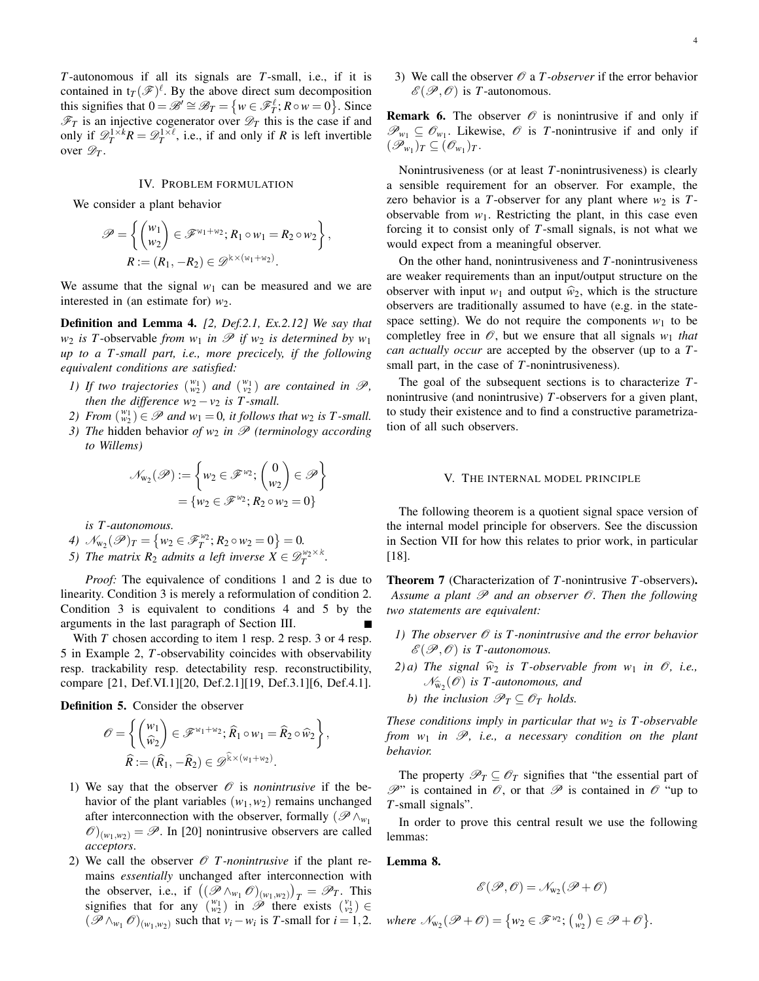*T*-autonomous if all its signals are *T*-small, i.e., if it is contained in  $t_T(\mathscr{F})^{\ell}$ . By the above direct sum decomposition this signifies that  $0 = \mathscr{B}' \cong \mathscr{B}_T = \{ w \in \mathscr{F}_T^{\ell} : R \circ w = 0 \}$ . Since  $\mathscr{F}_T$  is an injective cogenerator over  $\mathscr{D}_T$  this is the case if and only if  $\mathscr{D}_T^{1 \times k} R = \mathscr{D}_T^{1 \times \ell}$ , i.e., if and only if *R* is left invertible over  $\mathscr{D}_T$ .

# IV. PROBLEM FORMULATION

<span id="page-3-0"></span>We consider a plant behavior

$$
\mathscr{P} = \left\{ \begin{pmatrix} w_1 \\ w_2 \end{pmatrix} \in \mathscr{F}^{w_1 + w_2}; R_1 \circ w_1 = R_2 \circ w_2 \right\}
$$

$$
R := (R_1, -R_2) \in \mathscr{D}^{k \times (w_1 + w_2)}.
$$

,

We assume that the signal  $w_1$  can be measured and we are interested in (an estimate for)  $w_2$ .

<span id="page-3-12"></span>Definition and Lemma 4. *[\[2,](#page-9-9) Def.2.1, Ex.2.12] We say that*  $w_2$  *is T*-observable *from*  $w_1$  *in*  $\mathcal{P}$  *if*  $w_2$  *is determined by*  $w_1$ *up to a T -small part, i.e., more precicely, if the following equivalent conditions are satisfied:*

- <span id="page-3-2"></span>*1)* If two trajectories  $\binom{w_1}{w_2}$  and  $\binom{w_1}{v_2}$  are contained in  $\mathcal{P}$ , *then the difference*  $w_2 - v_2$  *is T-small.*
- <span id="page-3-3"></span>2) *From*  $\binom{w_1}{w_2} \in \mathcal{P}$  *and*  $w_1 = 0$ *, it follows that*  $w_2$  *is T*-small.
- <span id="page-3-4"></span>*3) The* hidden behavior *of*  $w_2$  *in*  $\mathcal P$  *(terminology according to Willems)*

$$
\mathcal{N}_{w_2}(\mathscr{P}) := \left\{ w_2 \in \mathscr{F}^{w_2}; \begin{pmatrix} 0 \\ w_2 \end{pmatrix} \in \mathscr{P} \right\}
$$

$$
= \left\{ w_2 \in \mathscr{F}^{w_2}; R_2 \circ w_2 = 0 \right\}
$$

*is T -autonomous.*

<span id="page-3-5"></span>*4*)  $\mathcal{N}_{w_2}(\mathscr{P})_T = \{w_2 \in \mathscr{F}_T^{w_2}; R_2 \circ w_2 = 0\} = 0.$ 

<span id="page-3-6"></span>*5) The matrix*  $R_2$  *admits a left inverse*  $X \in \mathscr{D}_T^{\omega_2 \times k}$ *.* 

*Proof:* The equivalence of conditions [1](#page-3-2) and [2](#page-3-3) is due to linearity. Condition [3](#page-3-4) is merely a reformulation of condition [2.](#page-3-3) Condition [3](#page-3-4) is equivalent to conditions [4](#page-3-5) and [5](#page-3-6) by the arguments in the last paragraph of Section [III.](#page-1-0)

With *T* chosen according to item [1](#page-2-3) resp. [2](#page-2-4) resp. [3](#page-2-0) or [4](#page-2-1) resp. [5](#page-2-5) in Example [2,](#page-2-2) *T*-observability coincides with observability resp. trackability resp. detectability resp. reconstructibility, compare [\[21,](#page-9-14) Def.VI.1][\[20,](#page-9-2) Def.2.1][\[19,](#page-9-15) Def.3.1][\[6,](#page-9-8) Def.4.1].

Definition 5. Consider the observer

$$
\mathscr{O} = \left\{ \begin{pmatrix} w_1 \\ \widehat{w}_2 \end{pmatrix} \in \mathscr{F}^{w_1 + w_2}; \, \widehat{R}_1 \circ w_1 = \widehat{R}_2 \circ \widehat{w}_2 \right\},
$$

$$
\widehat{R} := (\widehat{R}_1, -\widehat{R}_2) \in \mathscr{D}^{\widehat{k} \times (w_1 + w_2)}.
$$

- 1) We say that the observer  $\mathcal O$  is *nonintrusive* if the behavior of the plant variables  $(w_1, w_2)$  remains unchanged after interconnection with the observer, formally ( $\mathscr{P} \wedge_{w_1}$  $\mathcal{O}_{w_1,w_2} = \mathcal{P}$ . In [\[20\]](#page-9-2) nonintrusive observers are called *acceptors*.
- 2) We call the observer  $\mathcal O$  *T*-nonintrusive if the plant remains *essentially* unchanged after interconnection with the observer, i.e., if  $((\mathscr{P} \wedge_{w_1} \mathscr{O})_{(w_1,w_2)})_T = \mathscr{P}_T$ . This signifies that for any  $\begin{pmatrix} w_1 \\ w_2 \end{pmatrix}$  in  $\mathscr{P}$  there exists  $\begin{pmatrix} v_1 \\ v_2 \end{pmatrix} \in$  $(\mathscr{P} \wedge_{w_1} \mathscr{O})_{(w_1,w_2)}$  such that  $v_i - w_i$  is *T*-small for  $i = 1, 2$ .

3) We call the observer  $\mathcal O$  a *T*-observer if the error behavior  $\mathscr{E}(\mathscr{P}, \mathscr{O})$  is *T*-autonomous.

<span id="page-3-11"></span>**Remark 6.** The observer  $\mathcal O$  is nonintrusive if and only if  $\mathscr{P}_{w_1} \subseteq \mathscr{O}_{w_1}$ . Likewise,  $\mathscr{O}$  is *T*-nonintrusive if and only if  $(\mathscr{P}_{w_1})_T \subseteq (\mathscr{O}_{w_1})_T.$ 

Nonintrusiveness (or at least *T*-nonintrusiveness) is clearly a sensible requirement for an observer. For example, the zero behavior is a *T*-observer for any plant where  $w_2$  is *T*observable from  $w_1$ . Restricting the plant, in this case even forcing it to consist only of *T*-small signals, is not what we would expect from a meaningful observer.

On the other hand, nonintrusiveness and *T*-nonintrusiveness are weaker requirements than an input/output structure on the observer with input  $w_1$  and output  $\hat{w}_2$ , which is the structure observers are traditionally assumed to have (e.g. in the statespace setting). We do not require the components  $w_1$  to be completley free in  $\mathcal{O}$ , but we ensure that all signals  $w_1$  *that can actually occur* are accepted by the observer (up to a *T*small part, in the case of *T*-nonintrusiveness).

The goal of the subsequent sections is to characterize *T*nonintrusive (and nonintrusive) *T*-observers for a given plant, to study their existence and to find a constructive parametrization of all such observers.

#### V. THE INTERNAL MODEL PRINCIPLE

<span id="page-3-1"></span>The following theorem is a quotient signal space version of the internal model principle for observers. See the discussion in Section [VII](#page-5-0) for how this relates to prior work, in particular [\[18\]](#page-9-5).

<span id="page-3-8"></span>Theorem 7 (Characterization of *T*-nonintrusive *T*-observers). *Assume a plant*  $\mathcal P$  *and an observer*  $\mathcal O$ *. Then the following two statements are equivalent:*

- <span id="page-3-9"></span>*1)* The observer  $\mathcal O$  is T-nonintrusive and the error behavior  $\mathscr{E}(\mathscr{P},\mathscr{O})$  *is T*-autonomous.
- <span id="page-3-10"></span>*2) a) The signal*  $\hat{w}_2$  *is T-observable from*  $w_1$  *in*  $\mathcal{O}$ *, i.e.,*  $\mathcal{N}_{\widehat{w}_2}(\mathscr{O})$  *is T-autonomous, and* 
	- *b) the inclusion*  $\mathcal{P}_T \subseteq \mathcal{O}_T$  *holds.*

*These conditions imply in particular that w<sub>2</sub> is T-observable from*  $w_1$  *in*  $\mathscr{P}$ *, i.e., a necessary condition on the plant behavior.*

The property  $\mathcal{P}_T \subseteq \mathcal{O}_T$  signifies that "the essential part of  $\mathscr{P}'$  is contained in  $\mathscr{O}$ , or that  $\mathscr{P}$  is contained in  $\mathscr{O}$  "up to *T*-small signals".

In order to prove this central result we use the following lemmas:

<span id="page-3-7"></span>Lemma 8.

$$
\mathscr{E}(\mathscr{P},\mathscr{O})=\mathscr{N}_{w_2}(\mathscr{P}+\mathscr{O})
$$

where 
$$
\mathcal{N}_{w_2}(\mathcal{P}+\mathcal{O}) = \{w_2 \in \mathcal{F}^{w_2}; \begin{pmatrix} 0 \\ w_2 \end{pmatrix} \in \mathcal{P}+\mathcal{O}\}.
$$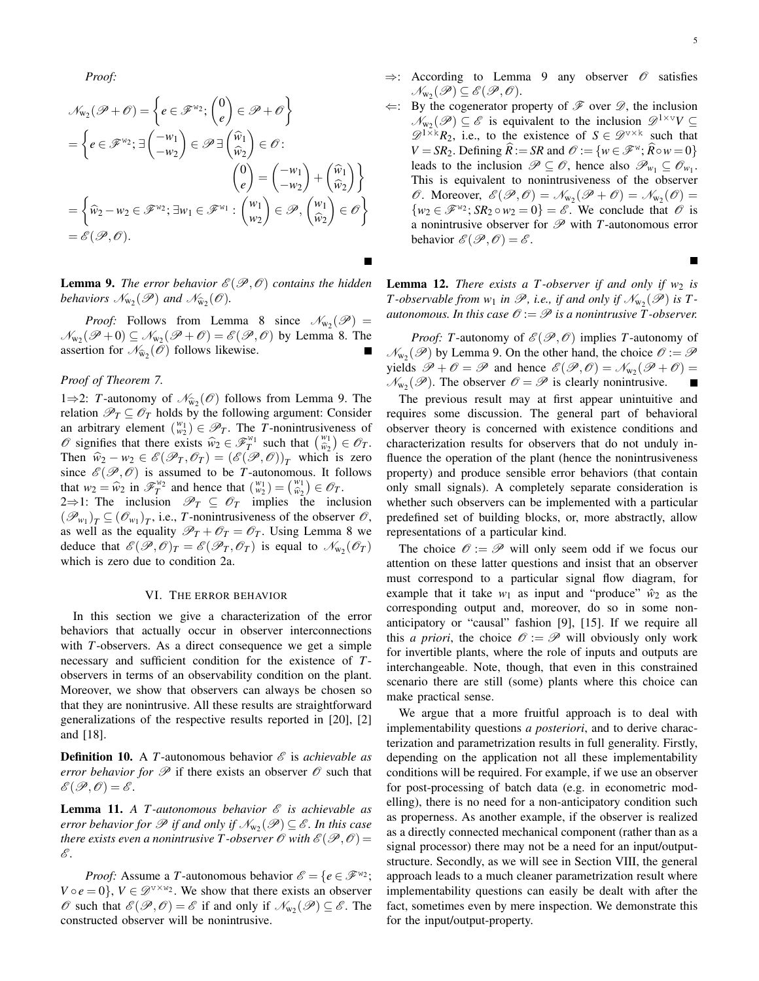*Proof:*

$$
\mathcal{N}_{w_2}(\mathscr{P}+\mathscr{O}) = \left\{ e \in \mathscr{F}^{w_2}; \begin{pmatrix} 0 \\ e \end{pmatrix} \in \mathscr{P}+\mathscr{O} \right\}
$$
  
\n
$$
= \left\{ e \in \mathscr{F}^{w_2}; \exists \begin{pmatrix} -w_1 \\ -w_2 \end{pmatrix} \in \mathscr{P} \exists \begin{pmatrix} \widehat{w}_1 \\ \widehat{w}_2 \end{pmatrix} \in \mathscr{O} : \begin{pmatrix} 0 \\ e \end{pmatrix} = \begin{pmatrix} -w_1 \\ -w_2 \end{pmatrix} + \begin{pmatrix} \widehat{w}_1 \\ \widehat{w}_2 \end{pmatrix} \right\}
$$
  
\n
$$
= \left\{ \widehat{w}_2 - w_2 \in \mathscr{F}^{w_2}; \exists w_1 \in \mathscr{F}^{w_1} : \begin{pmatrix} w_1 \\ w_2 \end{pmatrix} \in \mathscr{P}, \begin{pmatrix} w_1 \\ \widehat{w}_2 \end{pmatrix} \in \mathscr{O} \right\}
$$
  
\n
$$
= \mathscr{E}(\mathscr{P}, \mathscr{O}).
$$

<span id="page-4-1"></span>**Lemma 9.** *The error behavior*  $\mathcal{E}(\mathcal{P}, \mathcal{O})$  *contains the hidden* behaviors  $\mathcal{N}_{w_2}(\mathscr{P})$  and  $\mathcal{N}_{\widehat{w}_2}(\mathscr{O})$ .

*Proof:* Follows from Lemma [8](#page-3-7) since  $\mathcal{N}_{w_2}(\mathcal{P}) =$  $\mathcal{N}_{w_2}(\mathcal{P}+0) \subseteq \mathcal{N}_{w_2}(\mathcal{P}+\mathcal{O}) = \mathcal{E}(\mathcal{P},\mathcal{O})$  by Lemma [8.](#page-3-7) The assertion for  $\mathcal{N}_{\hat{\mathbf{w}}_2}(\mathscr{O})$  follows likewise.

## *Proof of Theorem [7.](#page-3-8)*

[1](#page-3-9)⇒[2:](#page-3-10) *T*-autonomy of  $\mathcal{N}_{\hat{w}_2}(\mathcal{O})$  follows from Lemma [9.](#page-4-1) The relation  $\mathcal{D} \subset \mathcal{O}$  bolds by the following example: Consider relation  $\mathscr{P}_T \subseteq \mathscr{O}_T$  holds by the following argument: Consider an arbitrary element  $\binom{w_1}{w_2} \in \mathscr{P}_T$ . The *T*-nonintrusiveness of  $\mathscr{O}$  signifies that there exists  $\widehat{w}_2 \in \mathscr{F}_T^{w_1}$  such that  $\binom{w_1}{w_2} \in \mathscr{O}_T$ .<br>Then  $\widehat{w}_1 \cup \mathscr{O}(\mathscr{P}_T, \mathscr{O}_T) = (\mathscr{E}(\mathscr{P}_T, \mathscr{O}))$ , which is zero Then  $\hat{w}_2 - w_2 \in \mathscr{E}(\mathscr{P}_T, \mathscr{O}_T) = (\mathscr{E}(\mathscr{P}, \mathscr{O}))_T$  which is zero since  $\mathscr{E}(\mathscr{P}, \mathscr{O})$  is assumed to be *T*-autonomous. It follows that  $w_2 = \hat{w}_2$  in  $\mathcal{F}_T^{w_2}$  and hence that  $\begin{pmatrix} w_1 \\ w_2 \end{pmatrix} = \begin{pmatrix} w_1 \\ \hat{w}_2 \end{pmatrix} \in \mathcal{O}_T$ .<br>  $2 \rightarrow 1$ . The inclusion  $\mathcal{P}_T \subset \mathcal{O}_T$  implies the inclu [2](#page-3-10)⇒[1:](#page-3-9) The inclusion  $\mathcal{P}_T$   $\subseteq$   $\mathcal{O}_T$  implies the inclusion  $(\mathscr{P}_{w_1})_T \subseteq (\mathscr{O}_{w_1})_T$ , i.e., *T*-nonintrusiveness of the observer  $\mathscr{O}$ , as well as the equality  $\mathcal{P}_T + \mathcal{O}_T = \mathcal{O}_T$ . Using Lemma [8](#page-3-7) we deduce that  $\mathscr{E}(\mathscr{P}, \mathscr{O})_T = \mathscr{E}(\mathscr{P}_T, \mathscr{O}_T)$  is equal to  $\mathscr{N}_{w_2}(\mathscr{O}_T)$ which is zero due to condition [2a.](#page-3-10)

#### VI. THE ERROR BEHAVIOR

<span id="page-4-0"></span>In this section we give a characterization of the error behaviors that actually occur in observer interconnections with *T*-observers. As a direct consequence we get a simple necessary and sufficient condition for the existence of *T*observers in terms of an observability condition on the plant. Moreover, we show that observers can always be chosen so that they are nonintrusive. All these results are straightforward generalizations of the respective results reported in [\[20\]](#page-9-2), [\[2\]](#page-9-9) and [\[18\]](#page-9-5).

**Definition 10.** A *T*-autonomous behavior  $\mathscr E$  is *achievable as error behavior for*  $\mathscr P$  if there exists an observer  $\mathscr O$  such that  $\mathscr{E}(\mathscr{P},\mathscr{O})=\mathscr{E}.$ 

Lemma 11. *A T-autonomous behavior*  $\mathscr E$  *is achievable as error behavior for*  $\mathscr P$  *if and only if*  $\mathscr N_{w_2}(\mathscr P)\subseteq \mathscr E$ *. In this case there exists even a nonintrusive T-observer*  $\mathcal O$  *with*  $\mathcal E(\mathcal P,\mathcal O)=$ E *.*

*Proof:* Assume a *T*-autonomous behavior  $\mathscr{E} = \{e \in \mathscr{F}^{\mathbb{W}_2}\}$ ;  $V \circ e = 0$ ,  $V \in \mathscr{D}^{\vee \times w_2}$ . We show that there exists an observer  $\mathscr O$  such that  $\mathscr E(\mathscr P,\mathscr O)=\mathscr E$  if and only if  $\mathscr N_{w_2}(\mathscr P)\subseteq\mathscr E$ . The constructed observer will be nonintrusive.

- $\Rightarrow$ : According to Lemma [9](#page-4-1) any observer  $\oslash$  satisfies  $\mathscr{N}_{w_2}(\mathscr{P}) \subseteq \mathscr{E}(\mathscr{P}, \mathscr{O}).$
- $\Leftarrow$ : By the cogenerator property of  $\mathscr F$  over  $\mathscr D$ , the inclusion  $\mathcal{N}_{w_2}(\mathscr{P}) \subseteq \mathscr{E}$  is equivalent to the inclusion  $\mathscr{D}^{1 \times v}V \subseteq$  $\mathscr{D}^{1 \times k} R_2$ , i.e., to the existence of  $S \in \mathscr{D}^{\vee \times k}$  such that *V* = *SR*<sub>2</sub>. Defining  $\hat{R} := SR$  and  $\mathcal{O} := \{w \in \mathcal{F}^w : \hat{R} \circ w = 0\}$ leads to the inclusion  $\mathscr{P} \subseteq \mathscr{O}$ , hence also  $\mathscr{P}_{w_1} \subseteq \mathscr{O}_{w_1}$ . This is equivalent to nonintrusiveness of the observer  $\mathscr O$ . Moreover,  $\mathscr E(\mathscr P,\mathscr O)=\mathscr N_{w_2}(\mathscr P+\mathscr O)=\mathscr N_{w_2}(\mathscr O)=$  $\{w_2 \in \mathscr{F}^{\mathbb{W}_2}; SR_2 \circ w_2 = 0\} = \mathscr{E}$ . We conclude that  $\mathscr{O}$  is a nonintrusive observer for  $\mathscr P$  with *T*-autonomous error behavior  $\mathscr{E}(\mathscr{P},\mathscr{O})=\mathscr{E}.$

<span id="page-4-2"></span>**Lemma 12.** *There exists a T-observer if and only if*  $w_2$  *is T*-observable from  $w_1$  in  $\mathscr{P}$ , i.e., if and only if  $\mathscr{N}_{w_2}(\mathscr{P})$  is T*autonomous. In this case*  $\mathcal{O} := \mathcal{P}$  *is a nonintrusive T-observer.* 

*Proof:* T-autonomy of  $\mathcal{E}(\mathcal{P}, \mathcal{O})$  implies T-autonomy of  $\mathcal{N}_{w_2}(\mathscr{P})$  by Lemma [9.](#page-4-1) On the other hand, the choice  $\mathscr{O} := \mathscr{P}$ yields  $\mathscr{P} + \mathscr{O} = \mathscr{P}$  and hence  $\mathscr{E}(\mathscr{P}, \mathscr{O}) = \mathscr{N}_{w_2}(\mathscr{P} + \mathscr{O}) =$  $\mathcal{N}_{w_2}(\mathscr{P})$ . The observer  $\mathscr{O} = \mathscr{P}$  is clearly nonintrusive.

The previous result may at first appear unintuitive and requires some discussion. The general part of behavioral observer theory is concerned with existence conditions and characterization results for observers that do not unduly influence the operation of the plant (hence the nonintrusiveness property) and produce sensible error behaviors (that contain only small signals). A completely separate consideration is whether such observers can be implemented with a particular predefined set of building blocks, or, more abstractly, allow representations of a particular kind.

The choice  $\mathcal{O} := \mathcal{P}$  will only seem odd if we focus our attention on these latter questions and insist that an observer must correspond to a particular signal flow diagram, for example that it take  $w_1$  as input and "produce"  $\hat{w}_2$  as the corresponding output and, moreover, do so in some nonanticipatory or "causal" fashion [\[9\]](#page-9-16), [\[15\]](#page-9-13). If we require all this *a priori*, the choice  $\mathcal{O} := \mathcal{P}$  will obviously only work for invertible plants, where the role of inputs and outputs are interchangeable. Note, though, that even in this constrained scenario there are still (some) plants where this choice can make practical sense.

We argue that a more fruitful approach is to deal with implementability questions *a posteriori*, and to derive characterization and parametrization results in full generality. Firstly, depending on the application not all these implementability conditions will be required. For example, if we use an observer for post-processing of batch data (e.g. in econometric modelling), there is no need for a non-anticipatory condition such as properness. As another example, if the observer is realized as a directly connected mechanical component (rather than as a signal processor) there may not be a need for an input/outputstructure. Secondly, as we will see in Section [VIII,](#page-6-0) the general approach leads to a much cleaner parametrization result where implementability questions can easily be dealt with after the fact, sometimes even by mere inspection. We demonstrate this for the input/output-property.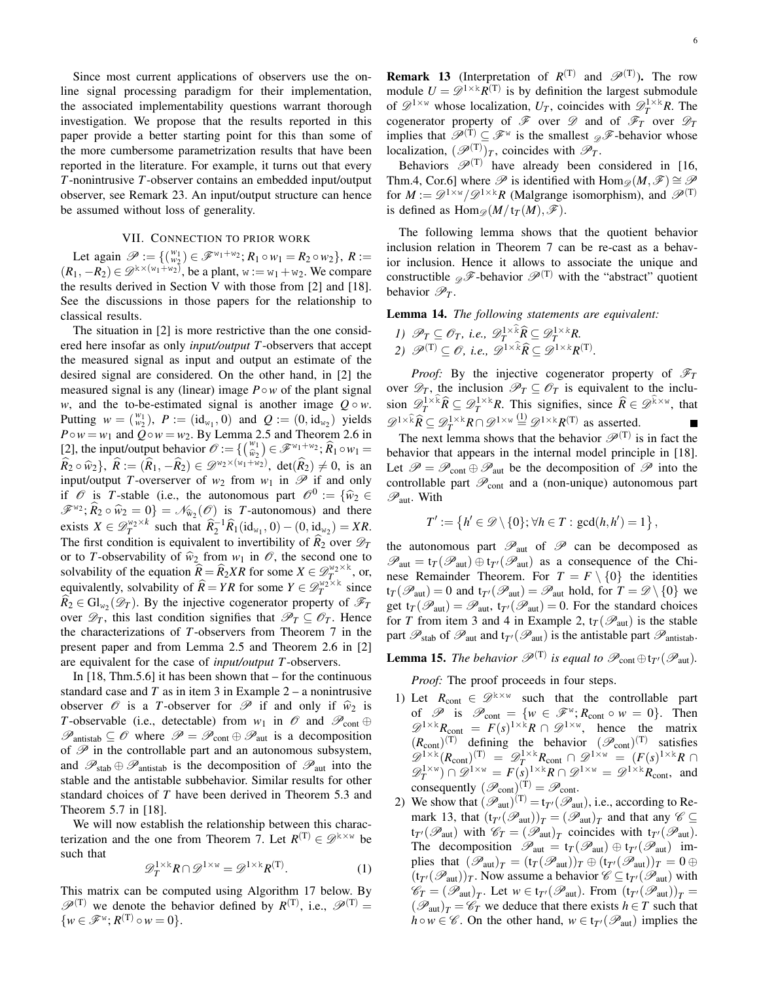Since most current applications of observers use the online signal processing paradigm for their implementation, the associated implementability questions warrant thorough investigation. We propose that the results reported in this paper provide a better starting point for this than some of the more cumbersome parametrization results that have been reported in the literature. For example, it turns out that every *T*-nonintrusive *T*-observer contains an embedded input/output observer, see Remark [23.](#page-8-1) An input/output structure can hence be assumed without loss of generality.

# VII. CONNECTION TO PRIOR WORK

<span id="page-5-0"></span>Let again  $\mathscr{P} := \{(\begin{smallmatrix} w_1 \\ w_2 \end{smallmatrix}) \in \mathscr{F}^{\mathsf{w}_1 + \mathsf{w}_2}; R_1 \circ w_1 = R_2 \circ w_2\}, R :=$  $(R_1, -R_2) \in \mathscr{D}^{k \times (w_1 + w_2)}$ , be a plant,  $w := w_1 + w_2$ . We compare the results derived in Section [V](#page-3-1) with those from [\[2\]](#page-9-9) and [\[18\]](#page-9-5). See the discussions in those papers for the relationship to classical results.

The situation in [\[2\]](#page-9-9) is more restrictive than the one considered here insofar as only *input/output T*-observers that accept the measured signal as input and output an estimate of the desired signal are considered. On the other hand, in [\[2\]](#page-9-9) the measured signal is any (linear) image  $P \circ w$  of the plant signal *w*, and the to-be-estimated signal is another image  $Q \circ w$ . Putting  $w = \begin{pmatrix} w_1 \\ w_2 \end{pmatrix}$ ,  $P := (\text{id}_{w_1}, 0)$  and  $Q := (0, \text{id}_{w_2})$  yields  $P \circ w = w_1$  and  $Q \circ w = w_2$ . By Lemma 2.5 and Theorem 2.6 in [\[2\]](#page-9-9), the input/output behavior  $\mathscr{O} := \{ \begin{pmatrix} w_1 \\ \hat{w}_2 \end{pmatrix} \}$  $\widehat{w}_2^{\text{w}_1} \in \mathscr{F}^{\text{w}_1 + \text{w}_2}; \widehat{R}_1 \circ w_1 =$ <br>  $w_1 \neq w_2$  at  $\widehat{R}_1 \circ \widehat{R}_2$  and  $\widehat{R}_2$  and  $\widehat{R}_3$  and  $\widehat{R}_4$  and  $\widehat{R}_5$  and  $\widehat{R}_4$  and  $\widehat{R}_5$  and  $\widehat{R}_6$  and  $\widehat{R}_5$  and  $\widehat{R}_6$  and  $\$  $\widehat{R}_2 \circ \widehat{w}_2$ ,  $\widehat{R} := (\widehat{R}_1, -\widehat{R}_2) \in \mathcal{D}^{\mathbb{W}_2 \times (\mathbb{W}_1 + \widehat{\mathbb{W}}_2)}$ , det $(\widehat{R}_2) \neq 0$ , is an input output  $T$  overcenter of  $w_2$  from  $w_1$  in  $\mathcal{P}_2$  if and only input/output *T*-overserver of  $w_2$  from  $w_1$  in  $\mathscr P$  if and only if  $\mathcal{O}$  is *T*-stable (i.e., the autonomous part  $\mathcal{O}^0 := \{\hat{w}_2 \in \mathbb{R} \times \mathbb{R} : \hat{p}_2 \in \mathbb{R} \times \mathbb{R} \times \mathbb{R} \times \mathbb{R} \times \mathbb{R} \times \mathbb{R} \times \mathbb{R} \times \mathbb{R} \times \mathbb{R} \times \mathbb{R} \times \mathbb{R} \times \mathbb{R} \times \mathbb{R} \times \mathbb{R} \times \mathbb{R} \times \mathbb{R}$  $\mathscr{F}^{\mathbb{W}_2}; \hat{R}_2 \circ \hat{\mathbb{w}}_2 = 0$  =  $\mathscr{N}_{\hat{\mathbb{w}}_2}(\mathscr{O})$  is *T*-autonomous) and there exists  $X \in \mathscr{D}_T^{w_2 \times k}$  such that  $\widehat{R}_2^{-1} \widehat{R}_1(\mathrm{id}_{w_1}, 0) - (0, \mathrm{id}_{w_2}) = X R$ . The first condition is equivalent to invertibility of  $\mathbb{R}_2$  over  $\mathscr{D}_T$ or to *T*-observability of  $\hat{w}_2$  from  $w_1$  in  $\hat{\mathcal{O}}$ , the second one to solvability of the equation  $\widehat{R} = \widehat{R}_2 X R$  for some  $X \in \mathcal{D}_X^{w_2 \times k}$ , or, equivalently, solvability of  $\widehat{R} = YR$  for some  $Y \in \mathcal{D}_T^{w_2 \times k}$  since  $R_2 \in \mathrm{Gl}_{w_2}(\mathscr{D}_T)$ . By the injective cogenerator property of  $\mathscr{F}_T$ over  $\mathscr{D}_T$ , this last condition signifies that  $\mathscr{P}_T \subseteq \mathscr{O}_T$ . Hence the characterizations of *T*-observers from Theorem [7](#page-3-8) in the present paper and from Lemma 2.5 and Theorem 2.6 in [\[2\]](#page-9-9) are equivalent for the case of *input/output T*-observers.

In [\[18,](#page-9-5) Thm.5.6] it has been shown that – for the continuous standard case and  $T$  as in item [3](#page-2-0) in Example  $2 - a$  nonintrusive observer  $\mathcal O$  is a *T*-observer for  $\mathcal P$  if and only if  $\hat w_2$  is *T*-observable (i.e., detectable) from  $w_1$  in  $\mathcal O$  and  $\mathcal P_{cont} \oplus$  $\mathscr{P}_{\text{antis} } \subseteq \mathscr{O}$  where  $\mathscr{P} = \mathscr{P}_{\text{cont}} \oplus \mathscr{P}_{\text{aut}}$  is a decomposition of  $\mathscr P$  in the controllable part and an autonomous subsystem, and  $\mathscr{P}_{\text{stab}} \oplus \mathscr{P}_{\text{antisable}}$  is the decomposition of  $\mathscr{P}_{\text{aut}}$  into the stable and the antistable subbehavior. Similar results for other standard choices of *T* have been derived in Theorem 5.3 and Theorem 5.7 in [\[18\]](#page-9-5).

We will now establish the relationship between this charac-terization and the one from Theorem [7.](#page-3-8) Let  $R^{(T)} \in \mathscr{D}^{k \times w}$  be such that

<span id="page-5-1"></span>
$$
\mathscr{D}_T^{1 \times k} R \cap \mathscr{D}^{1 \times w} = \mathscr{D}^{1 \times k} R^{(T)}.
$$
 (1)

This matrix can be computed using Algorithm [17](#page-6-1) below. By  $\mathscr{P}^{(T)}$  we denote the behavior defined by  $R^{(T)}$ , i.e.,  $\mathscr{P}^{(T)}$  =  $\{w \in \mathscr{F}^w; R^{(T)} \circ w = 0\}.$ 

<span id="page-5-2"></span>**Remark 13** (Interpretation of  $R^{(T)}$  and  $\mathcal{P}^{(T)}$ ). The row module  $U = \mathscr{D}^{1 \times k} R^{(T)}$  is by definition the largest submodule of  $\mathscr{D}^{1\times w}$  whose localization,  $U_T$ , coincides with  $\mathscr{D}_T^{1\times k}R$ . The cogenerator property of  $\mathscr F$  over  $\mathscr D$  and of  $\mathscr F_T$  over  $\mathscr D_T$ implies that  $\mathscr{P}^{(T)} \subseteq \mathscr{F}^w$  is the smallest  $\mathscr{F}$ -behavior whose localization,  $(\mathscr{P}^{(T)})_T$ , coincides with  $\mathscr{P}_T$ .

Behaviors  $\mathscr{P}^{(T)}$  have already been considered in [\[16,](#page-9-17) Thm.4, Cor.6] where  $\mathscr P$  is identified with Hom  $_{\mathscr D}(M,\mathscr F)\cong \mathscr P$ for  $M := \mathscr{D}^{1 \times w} / \mathscr{D}^{1 \times k} R$  (Malgrange isomorphism), and  $\mathscr{P}^{(T)}$ is defined as  $\text{Hom}_{\mathscr{D}}(M/\text{tr}_{T}(M),\mathscr{F})$ .

The following lemma shows that the quotient behavior inclusion relation in Theorem [7](#page-3-8) can be re-cast as a behavior inclusion. Hence it allows to associate the unique and constructible  $\mathscr{F}$ -behavior  $\mathscr{P}^{(T)}$  with the "abstract" quotient behavior  $\mathcal{P}_T$ .

<span id="page-5-3"></span>Lemma 14. *The following statements are equivalent:*

1) 
$$
\mathscr{P}_T \subseteq \mathscr{O}_T
$$
, i.e.,  $\mathscr{D}_T^{1 \times \hat{k}} \widehat{R} \subseteq \mathscr{D}_T^{1 \times k} R$ .

2)  $\mathscr{P}^{(T)} \subseteq \mathscr{O}$ , *i.e.*,  $\mathscr{D}^{1 \times k} \widehat{R} \subseteq \mathscr{D}^{1 \times k} R^{(T)}$ .

*Proof:* By the injective cogenerator property of  $\mathcal{F}_T$ over  $\mathscr{D}_T$ , the inclusion  $\mathscr{P}_T \subseteq \mathscr{O}_T$  is equivalent to the inclusion  $\mathscr{D}_T^{1\times k} \hat{R} \subseteq \mathscr{D}_T^{1\times k} R$ . This signifies, since  $\hat{R} \in \mathscr{D}^{\hat{k}\times w}$ , that  $\mathscr{D}^{1\times \hat{k}}\hat{R} \subseteq \mathscr{D}_T^{1\times k}R \cap \mathscr{D}^{1\times w} \stackrel{(1)}{=} \mathscr{D}^{1\times k}R^{(T)}$  $\mathscr{D}^{1\times \hat{k}}\hat{R} \subseteq \mathscr{D}_T^{1\times k}R \cap \mathscr{D}^{1\times w} \stackrel{(1)}{=} \mathscr{D}^{1\times k}R^{(T)}$  $\mathscr{D}^{1\times \hat{k}}\hat{R} \subseteq \mathscr{D}_T^{1\times k}R \cap \mathscr{D}^{1\times w} \stackrel{(1)}{=} \mathscr{D}^{1\times k}R^{(T)}$  as asserted.

The next lemma shows that the behavior  $\mathscr{P}^{(T)}$  is in fact the behavior that appears in the internal model principle in [\[18\]](#page-9-5). Let  $\mathscr{P} = \mathscr{P}_{cont} \oplus \mathscr{P}_{aut}$  be the decomposition of  $\mathscr{P}$  into the controllable part  $\mathcal{P}_{cont}$  and a (non-unique) autonomous part  $\mathscr{P}_{\text{aut}}$ . With

$$
T':=\left\{h'\in\mathscr{D}\setminus\{0\};\forall h\in T:\gcd(h,h')=1\right\},\
$$

the autonomous part  $\mathcal{P}_{aut}$  of  $\mathcal{P}$  can be decomposed as  $\mathscr{P}_{\text{aut}} = \text{tr}(\mathscr{P}_{\text{aut}}) \oplus \text{tr}(\mathscr{P}_{\text{aut}})$  as a consequence of the Chinese Remainder Theorem. For  $T = F \setminus \{0\}$  the identities  $t_T(\mathscr{P}_{\text{aut}}) = 0$  and  $t_{T}(\mathscr{P}_{\text{aut}}) = \mathscr{P}_{\text{aut}}$  hold, for  $T = \mathscr{D} \setminus \{0\}$  we get  $t_T(\mathcal{P}_{\text{aut}}) = \mathcal{P}_{\text{aut}}$ ,  $t_{T'}(\mathcal{P}_{\text{aut}}) = 0$ . For the standard choices for *T* from item [3](#page-2-0) and [4](#page-2-1) in Example [2,](#page-2-2)  $t_T(\mathscr{P}_{\text{aut}})$  is the stable part  $\mathscr{P}_{stab}$  of  $\mathscr{P}_{aut}$  and  $t_{T'}(\mathscr{P}_{aut})$  is the antistable part  $\mathscr{P}_{antistab}$ .

<span id="page-5-4"></span>**Lemma 15.** *The behavior*  $\mathscr{P}^{(T)}$  *is equal to*  $\mathscr{P}_{cont} \oplus t_{T'}(\mathscr{P}_{aut})$ *.* 

*Proof:* The proof proceeds in four steps.

- 1) Let  $R_{\text{cont}} \in \mathscr{D}^{k \times w}$  such that the controllable part of  $\mathscr P$  is  $\mathscr P_{\text{cont}} = \{ w \in \mathscr F^w; R_{\text{cont}} \circ w = 0 \}.$  Then  $\mathscr{D}^{1\times k}R_{\text{cont}} = F(s)^{1\times k}R \cap \mathscr{D}^{1\times w}$ , hence the matrix  $(R_{\text{cont}})^{(T)}$  defining the behavior  $(\mathscr{P}_{\text{cont}})^{(T)}$  satisfies  $\mathscr{D}^{1\times k}(R_{\text{cont}})^{(T)} = \mathscr{D}^{1\times k}_{T}R_{\text{cont}} \cap \mathscr{D}^{1\times w} = (F(s)^{1\times k}R \cap$  $\mathscr{D}_T^{1\times w}$   $\cap \mathscr{D}^{1\times w} = F(s)$ <sup>1×k</sup> $R \cap \mathscr{D}^{1\times w} = \mathscr{D}^{1\times k}R_{\text{cont}}$ , and consequently  $(\mathscr{P}_{cont})^{(T)} = \mathscr{P}_{cont}$ .
- 2) We show that  $(\mathscr{P}_{\text{aut}})^{(T)} = t_{T'}(\mathscr{P}_{\text{aut}})$ , i.e., according to Re-mark [13,](#page-5-2) that  $(t_{T'}(\mathscr{P}_{\text{aut}}))_T = (\mathscr{P}_{\text{aut}})_T$  and that any  $\mathscr{C} \subseteq$  $t_{T'}(\mathscr{P}_{\text{aut}})$  with  $\mathscr{C}_T = (\mathscr{P}_{\text{aut}})_T$  coincides with  $t_{T'}(\mathscr{P}_{\text{aut}})$ . The decomposition  $\mathscr{P}_{\text{aut}} = \text{tr}(\mathscr{P}_{\text{aut}}) \oplus \text{tr}_{T'}(\mathscr{P}_{\text{aut}})$  implies that  $(\mathscr{P}_{\text{aut}})_T = (\mathfrak{t}_T(\mathscr{P}_{\text{aut}}))_T \oplus (\mathfrak{t}_{T'}(\mathscr{P}_{\text{aut}}))_T = 0 \oplus$  $(t_{T'}(\mathscr{P}_{\text{aut}}))_T$ . Now assume a behavior  $\mathscr{C} \subseteq t_{T'}(\mathscr{P}_{\text{aut}})$  with  $\mathscr{C}_T = (\mathscr{P}_{\text{aut}})_T$ . Let  $w \in t_{T'}(\mathscr{P}_{\text{aut}})$ . From  $(t_{T'}(\mathscr{P}_{\text{aut}}))_T =$  $(\mathscr{P}_{\text{aut}})_T = \mathscr{C}_T$  we deduce that there exists  $h \in T$  such that  $h \circ w \in \mathscr{C}$ . On the other hand,  $w \in \mathfrak{t}_{T'}(\mathscr{P}_{\text{aut}})$  implies the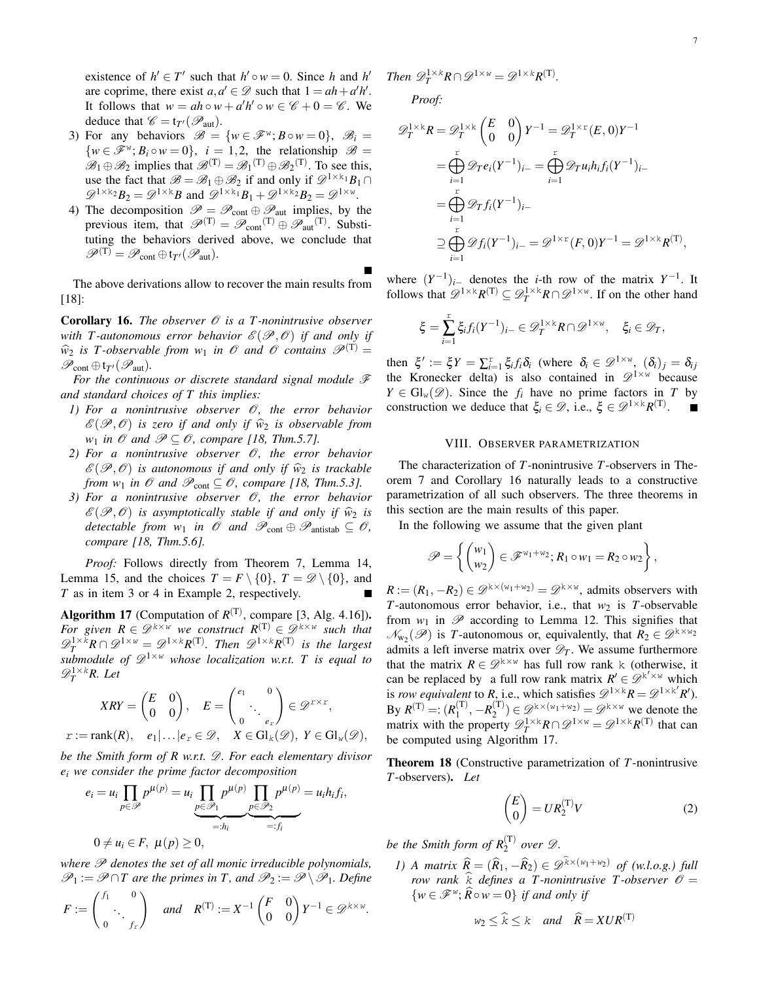7

,

existence of  $h' \in T'$  such that  $h' \circ w = 0$ . Since *h* and *h'* are coprime, there exist  $a, a' \in \mathcal{D}$  such that  $1 = ah + a'h'$ . It follows that  $w = ah \circ w + a'h' \circ w \in \mathcal{C} + 0 = \mathcal{C}$ . We deduce that  $\mathscr{C} = \mathfrak{t}_{T'}(\mathscr{P}_{\text{aut}}).$ 

- 3) For any behaviors  $\mathscr{B} = \{w \in \mathscr{F}^w : B \circ w = 0\}$ ,  $\mathscr{B}_i =$  $\{w \in \mathcal{F}^w : B_i \circ w = 0\}, i = 1, 2$ , the relationship  $\mathcal{B} =$  $\mathscr{B}_1 \oplus \mathscr{B}_2$  implies that  $\mathscr{B}^{(T)} = \mathscr{B}_1^{(T)} \oplus \mathscr{B}_2^{(T)}$ . To see this, use the fact that  $\mathscr{B} = \mathscr{B}_1 \oplus \mathscr{B}_2$  if and only if  $\mathscr{D}^{1 \times k_1}B_1 \cap$  $\mathscr{D}^{1 \times k_2}B_2 = \mathscr{D}^{1 \times k_1}B$  and  $\mathscr{D}^{1 \times k_1}B_1 + \mathscr{D}^{1 \times k_2}B_2 = \mathscr{D}^{1 \times w}$ .
- 4) The decomposition  $\mathscr{P} = \mathscr{P}_{cont} \oplus \mathscr{P}_{aut}$  implies, by the previous item, that  $\mathscr{P}^{(T)} = \mathscr{P}_{cont}^{(T)} \oplus \mathscr{P}_{aut}^{(T)}$ . Substituting the behaviors derived above, we conclude that  $\mathscr{P}^{(T)} = \mathscr{P}_{cont} \oplus t_{T'}(\mathscr{P}_{aut}).$

The above derivations allow to recover the main results from [\[18\]](#page-9-5):

<span id="page-6-2"></span>**Corollary 16.** *The observer*  $\mathcal O$  *is a T-nonintrusive observer with T-autonomous error behavior*  $\mathcal{E}(\mathcal{P}, \mathcal{O})$  *if and only if*  $\hat{w}_2$  *is T-observable from*  $w_1$  *in*  $\hat{\mathcal{O}}$  *and*  $\hat{\mathcal{O}}$  *contains*  $\mathscr{P}^{(T)}$  =  $\mathscr{P}_{cont} \oplus \mathfrak{t}_{T'}(\mathscr{P}_{aut}).$ 

*For the continuous or discrete standard signal module* F *and standard choices of T this implies:*

- *1) For a nonintrusive observer* O*, the error behavior*  $\mathscr{E}(\mathscr{P},\mathscr{O})$  *is zero if and only if*  $\hat{w}_2$  *is observable from w*<sub>1</sub> *in*  $\mathcal{O}$  *and*  $\mathcal{P} \subseteq \mathcal{O}$ *, compare* [\[18,](#page-9-5) *Thm.5.7*].
- *2) For a nonintrusive observer* O*, the error behavior*  $\mathscr{E}(\mathscr{P},\mathscr{O})$  *is autonomous if and only if*  $\hat{w}_2$  *is trackable from*  $w_1$  *in*  $\mathcal O$  *and*  $\mathcal P_{cont} \subseteq \mathcal O$ *, compare [\[18,](#page-9-5) Thm.5.3].*
- *3) For a nonintrusive observer* O*, the error behavior*  $\mathscr{E}(\mathscr{P}, \mathscr{O})$  *is asymptotically stable if and only if*  $\widehat{w}_2$  *is detectable from*  $w_1$  *in*  $\mathcal O$  *and*  $\mathcal P_{cont} \oplus \mathcal P_{antistab} \subseteq \mathcal O$ , *compare [\[18,](#page-9-5) Thm.5.6].*

*Proof:* Follows directly from Theorem [7,](#page-3-8) Lemma [14,](#page-5-3) Lemma [15,](#page-5-4) and the choices  $T = F \setminus \{0\}$ ,  $T = \mathcal{D} \setminus \{0\}$ , and *T* as in item [3](#page-2-0) or [4](#page-2-1) in Example [2,](#page-2-2) respectively.

<span id="page-6-1"></span>**Algorithm 17** (Computation of  $R^{(T)}$ , compare [\[3,](#page-9-18) Alg. 4.16]). *For given*  $R \in \mathscr{D}^{k \times w}$  *we construct*  $R^{(T)} \in \mathscr{D}^{k \times w}$  such that  $\mathscr{D}_T^{1\times k}R\cap\mathscr{D}^{1\times w}=\mathscr{D}^{1\times k}R^{(T)}$ *. Then*  $\mathscr{D}^{1\times k}R^{(T)}$  *is the largest submodule of*  $\mathscr{D}^{1\times w}$  *whose localization w.r.t. T is equal to*  $\mathscr{D}^{1\times k}_T R$ *. Let* 

$$
XRY = \begin{pmatrix} E & 0 \\ 0 & 0 \end{pmatrix}, \quad E = \begin{pmatrix} e_1 & 0 \\ 0 & \ddots \\ 0 & e_r \end{pmatrix} \in \mathcal{D}^{r \times r},
$$
  

$$
r := \text{rank}(R), \quad e_1 | \dots | e_r \in \mathcal{D}, \quad X \in \text{GL}_k(\mathcal{D}), \ Y \in \text{GL}_w(\mathcal{D}),
$$

*be the Smith form of R w.r.t.*  $\mathcal{D}$ *. For each elementary divisor e<sup>i</sup> we consider the prime factor decomposition*

$$
e_i = u_i \prod_{p \in \mathscr{P}} p^{\mu(p)} = u_i \prod_{p \in \mathscr{P}_1} p^{\mu(p)} \prod_{p \in \mathscr{P}_2} p^{\mu(p)} = u_i h_i f_i,
$$
  
\n
$$
0 \neq u_i \in F, \ \mu(p) \ge 0,
$$

*where*  $\mathscr P$  *denotes the set of all monic irreducible polynomials,*  $\mathscr{P}_1 := \mathscr{P} \cap T$  are the primes in T, and  $\mathscr{P}_2 := \mathscr{P} \setminus \mathscr{P}_1$ . Define

$$
F := \begin{pmatrix} f_1 & 0 \\ & \ddots & \\ 0 & f_x \end{pmatrix} \quad \text{and} \quad R^{(T)} := X^{-1} \begin{pmatrix} F & 0 \\ 0 & 0 \end{pmatrix} Y^{-1} \in \mathcal{D}^{k \times w}.
$$

*Then*  $\mathscr{D}_T^{1\times k}R \cap \mathscr{D}^{1\times w} = \mathscr{D}^{1\times k}R^{(T)}$ *.* 

*Proof:*

$$
\mathcal{D}_T^{1 \times k} R = \mathcal{D}_T^{1 \times k} \begin{pmatrix} E & 0 \\ 0 & 0 \end{pmatrix} Y^{-1} = \mathcal{D}_T^{1 \times r} (E, 0) Y^{-1}
$$

$$
= \bigoplus_{i=1}^r \mathcal{D}_T e_i (Y^{-1})_{i-} = \bigoplus_{i=1}^r \mathcal{D}_T u_i h_i f_i (Y^{-1})_{i-}
$$

$$
= \bigoplus_{i=1}^r \mathcal{D}_T f_i (Y^{-1})_{i-}
$$

$$
\supseteq \bigoplus_{i=1}^r \mathcal{D}_T f_i (Y^{-1})_{i-} = \mathcal{D}^{1 \times r} (F, 0) Y^{-1} = \mathcal{D}^{1 \times k} R^{(T)}
$$

where  $(Y^{-1})_{i-}$  denotes the *i*-th row of the matrix  $Y^{-1}$ . It follows that  $\mathscr{D}^{1\times k}R^{(T)} \subseteq \mathscr{D}_T^{1\times k}R \cap \mathscr{D}^{1\times w}$ . If on the other hand

$$
\xi = \sum_{i=1}^{\mathrm{r}} \xi_i f_i(Y^{-1})_{i-} \in \mathscr{D}_T^{1 \times \mathrm{k}} R \cap \mathscr{D}^{1 \times \mathrm{w}}, \quad \xi_i \in \mathscr{D}_T,
$$

then  $\xi' := \xi Y = \sum_{i=1}^{r} \xi_i f_i \delta_i$  (where  $\delta_i \in \mathscr{D}^{1 \times w}$ ,  $(\delta_i)_j = \delta_{ij}$ the Kronecker delta) is also contained in  $\mathscr{D}^{1\times w}$  because  $Y \in Gl_w(\mathscr{D})$ . Since the *f<sub>i</sub>* have no prime factors in *T* by construction we deduce that  $\xi_i \in \mathcal{D}$ , i.e.,  $\xi \in \mathcal{D}^{1 \times k} R^{(T)}$ .

#### VIII. OBSERVER PARAMETRIZATION

<span id="page-6-0"></span>The characterization of *T*-nonintrusive *T*-observers in Theorem [7](#page-3-8) and Corollary [16](#page-6-2) naturally leads to a constructive parametrization of all such observers. The three theorems in this section are the main results of this paper.

In the following we assume that the given plant

$$
\mathscr{P} = \left\{ \begin{pmatrix} w_1 \\ w_2 \end{pmatrix} \in \mathscr{F}^{\mathsf{w}_1 + \mathsf{w}_2}; R_1 \circ w_1 = R_2 \circ w_2 \right\},\
$$

 $R := (R_1, -R_2) \in \mathscr{D}^{k \times (w_1 + w_2)} = \mathscr{D}^{k \times w}$ , admits observers with  $T$ -autonomous error behavior, i.e., that  $w_2$  is  $T$ -observable from  $w_1$  in  $\mathscr P$  according to Lemma [12.](#page-4-2) This signifies that  $\mathcal{N}_{w_2}(\mathscr{P})$  is *T*-autonomous or, equivalently, that  $R_2 \in \mathscr{D}^{k \times w_2}$ admits a left inverse matrix over  $\mathcal{D}_T$ . We assume furthermore that the matrix  $R \in \mathscr{D}^{k \times w}$  has full row rank k (otherwise, it can be replaced by a full row rank matrix  $R' \in \mathscr{D}^{k' \times w}$  which is *row equivalent* to *R*, i.e., which satisfies  $\mathscr{D}^{1 \times k}R = \mathscr{D}^{1 \times k'}R'$ . By  $R^{(T)} =: (R_1^{(T)}$  $I_1^{(T)}, -R_2^{(T)}$  $(\mathcal{L}^{(T)}) \in \mathcal{D}^{k \times (w_1 + w_2)} = \mathcal{D}^{k \times w}$  we denote the matrix with the property  $\mathscr{D}_T^{1\times k}R \cap \mathscr{D}^{1\times w} = \mathscr{D}^{1\times k}R^{(T)}$  that can be computed using Algorithm [17.](#page-6-1)

<span id="page-6-3"></span>Theorem 18 (Constructive parametrization of *T*-nonintrusive *T*-observers). *Let*

<span id="page-6-4"></span>
$$
\begin{pmatrix} E \\ 0 \end{pmatrix} = U R_2^{(\text{T})} V \tag{2}
$$

*be the Smith form of*  $R_2^{(T)}$  *over*  $\mathscr{D}$ *.* 

*1) A matrix*  $\widehat{R} = (\widehat{R}_1, -\widehat{R}_2) \in \mathscr{D}^{\widehat{k} \times (w_1 + w_2)}$  *of (w.l.o.g.) full row rank*  $\hat{k}$  *defines a T-nonintrusive T-observer*  $\mathcal{O} =$  $\{w \in \mathscr{F}^w$ ;  $\widehat{R} \circ w = 0\}$  *if and only if* 

$$
w_2 \leq \widehat{k} \leq k \quad and \quad \widehat{R} = XUR^{(T)}
$$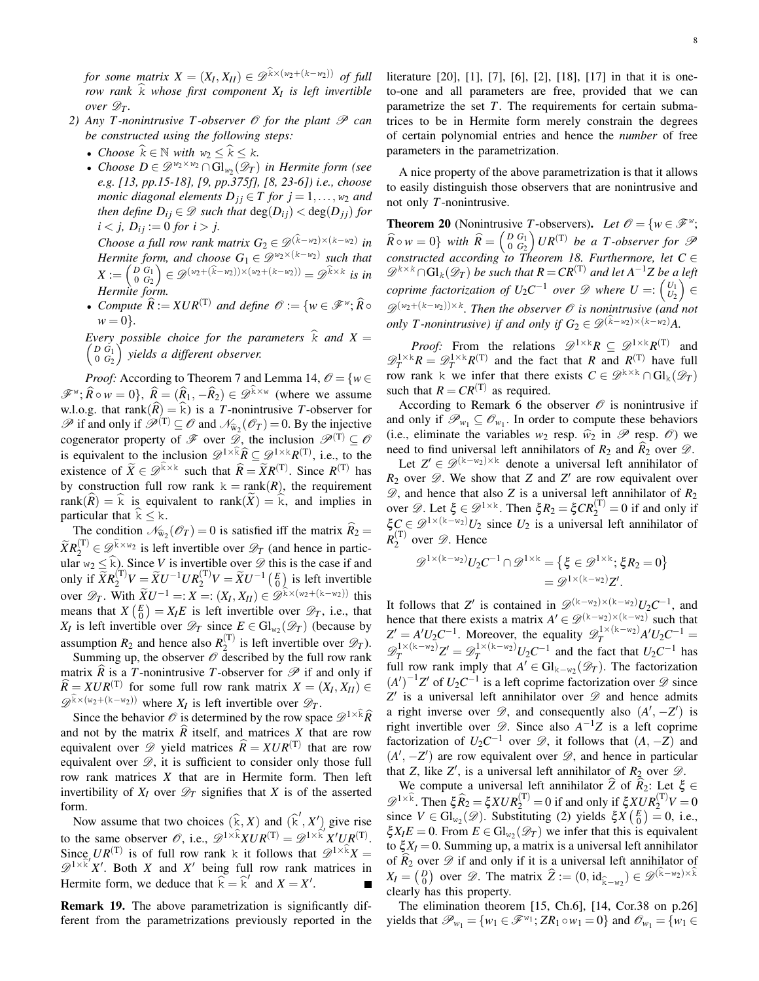*for some matrix*  $X = (X_I, X_{II}) \in \mathscr{D}^{K \times (w_2 + (k-w_2))}$  *of full row rank*  $\hat{k}$  *whose first component*  $X_I$  *is left invertible over*  $\mathscr{D}_T$ *.* 

- *2) Any T-nonintrusive T-observer*  $\mathcal O$  *for the plant*  $\mathcal P$  *can be constructed using the following steps:*
	- *Choose*  $\widehat{k} \in \mathbb{N}$  *with*  $w_2 \leq \widehat{k} \leq k$ .
	- *Choose*  $D \in \mathscr{D}^{\omega_2 \times \omega_2} \cap \mathrm{Gl}_{\omega_2}(\mathscr{D}_T)$  *in Hermite form (see e.g. [\[13,](#page-9-19) pp.15-18], [\[9,](#page-9-16) pp.375f], [\[8,](#page-9-20) 23-6]) i.e., choose monic diagonal elements*  $D_{ij} \in T$  *for*  $j = 1, \ldots, w_2$  *and then define*  $D_{ij} \in \mathcal{D}$  *such that*  $deg(D_{ij}) < deg(D_{jj})$  *for*  $i < j$ ,  $D_{ij} := 0$  *for*  $i > j$ .

*Choose a full row rank matrix*  $G_2 \in \mathscr{D}^{(k-w_2) \times (k-w_2)}$  *in Hermite form, and choose*  $G_1 \in \mathscr{D}^{\omega_2 \times (k-w_2)}$  such that  $X := \begin{pmatrix} D & G_1 \\ 0 & G_2 \end{pmatrix} \in \mathscr{D}^{(\omega_2 + (\hat{k} - \omega_2)) \times (\omega_2 + (k - \omega_2))} = \mathscr{D}^{\hat{k} \times k}$  is in *Hermite form.*

• *Compute*  $\widehat{R} := XUR^{(T)}$  *and define*  $\mathscr{O} := \{w \in \mathscr{F}^w : \widehat{R} \circ \widehat{R}\}$  $w = 0$ .

*Every possible choice for the parameters*  $\hat{k}$  *and*  $X =$  $\begin{bmatrix} D & G_1 \\ 0 & G_2 \end{bmatrix}$  yields a different observer.

*Proof:* According to Theorem [7](#page-3-8) and Lemma [14,](#page-5-3)  $\mathcal{O} = \{w \in \mathcal{O}\}$  $\mathscr{F}^w$ ;  $\hat{R} \circ w = 0$ ,  $\hat{R} = (\hat{R}_1, -\hat{R}_2) \in \mathscr{D}^k$  we we assume w.l.o.g. that rank $(\widehat{R}) = \widehat{k}$ ) is a *T*-nonintrusive *T*-observer for P if and only if  $\mathcal{P}^{(T)} \subseteq \mathcal{O}$  and  $\mathcal{N}_{\hat{w}_2}(\mathcal{O}_T) = 0$ . By the injective cogenerator property of  $\mathscr{F}$  over  $\mathscr{D}$ , the inclusion  $\mathscr{P}^{(T)} \subseteq \mathscr{O}$ is equivalent to the inclusion  $\mathscr{D}^{1\times k}\widehat{R} \subseteq \mathscr{D}^{1\times k}R^{(T)}$ , i.e., to the existence of  $\widetilde{X} \in \mathcal{D}^{\widetilde{k} \times k}$  such that  $\widehat{R} = \widetilde{X}R^{(T)}$ . Since  $R^{(T)}$  has by construction full row rank  $k = rank(R)$ , the requirement rank( $R$ ) = k is equivalent to rank( $X$ ) = k, and implies in particular that  $k \leq k$ .

The condition  $\mathcal{N}_{\hat{w}_2}(\mathcal{O}_T) = 0$  is satisfied iff the matrix  $R_2 =$  $\widetilde{X}R_2^{(T)} \in \mathscr{D}^{\widehat{k} \times w_2}$  is left invertible over  $\mathscr{D}_T$  (and hence in particular  $w_2 \leq \hat{k}$ ). Since *V* is invertible over  $\mathscr{D}$  this is the case if and only if  $\overline{\tilde{X}}R_2^{(T)}$  $\widetilde{X}U^{-1}UR_2^{(T)}V = \widetilde{X}U^{-1}(\begin{bmatrix}E\\0\end{bmatrix})$  is left invertible over  $\mathscr{D}_T$ . With  $\widetilde{X}U^{-1} =: X =: (X_I, X_{II}) \in \mathscr{D}^{\widetilde{k} \times (w_2 + (k-w_2))}$  this means that  $X\begin{pmatrix} E \\ 0 \end{pmatrix} = X_I E$  is left invertible over  $\mathscr{D}_T$ , i.e., that *X<sub>I</sub>* is left invertible over  $\mathscr{D}_T$  since  $E \in Gl_{w_2}(\mathscr{D}_T)$  (because by assumption  $R_2$  and hence also  $R_2^{(T)}$  $2^{(1)}$  is left invertible over  $\mathscr{D}_T$ ).

Summing up, the observer  $\mathcal O$  described by the full row rank matrix  $\widehat{R}$  is a *T*-nonintrusive *T*-observer for  $\mathscr P$  if and only if  $\widehat{R} = XUR^{(T)}$  for some full row rank matrix  $X = (X_I, X_{II}) \in \widehat{R}$  $\mathscr{D}^{k\times(w_2+(k-w_2))}$  where  $X_I$  is left invertible over  $\mathscr{D}_T$ .

Since the behavior  $\mathcal O$  is determined by the row space  $\mathscr D^{1\times k}\widehat{R}$ and not by the matrix  $\overline{R}$  itself, and matrices  $\overline{X}$  that are row equivalent over  $\mathscr{D}$  yield matrices  $\widehat{R} = XUR^{(T)}$  that are row equivalent over  $\mathscr{D}$ , it is sufficient to consider only those full row rank matrices *X* that are in Hermite form. Then left invertibility of  $X_I$  over  $\mathscr{D}_T$  signifies that *X* is of the asserted form.

Now assume that two choices  $(\widehat{k}, X)$  and  $(\widehat{k}', X')$  give rise to the same observer  $\mathscr{O}$ , i.e.,  $\mathscr{D}^{1 \times \hat{k}} X U R^{(T)} = \mathscr{D}^{1 \times \hat{k}} X' U R^{(T)}$ . Since *UR*<sup>(T)</sup> is of full row rank k it follows that  $\mathscr{D}^{1\times k}X =$  $\mathscr{D}^{1 \times k} X'$ . Both *X* and *X'* being full row rank matrices in Hermite form, we deduce that  $\hat{k} = \hat{k}'$  and  $X = X'$ .

Remark 19. The above parametrization is significantly different from the parametrizations previously reported in the literature [\[20\]](#page-9-2), [\[1\]](#page-9-3), [\[7\]](#page-9-21), [\[6\]](#page-9-8), [\[2\]](#page-9-9), [\[18\]](#page-9-5), [\[17\]](#page-9-10) in that it is oneto-one and all parameters are free, provided that we can parametrize the set *T*. The requirements for certain submatrices to be in Hermite form merely constrain the degrees of certain polynomial entries and hence the *number* of free parameters in the parametrization.

A nice property of the above parametrization is that it allows to easily distinguish those observers that are nonintrusive and not only *T*-nonintrusive.

<span id="page-7-0"></span>**Theorem 20** (Nonintrusive *T*-observers). Let  $\mathcal{O} = \{w \in \mathcal{F}^w\}$ ;  $\widehat{R} \circ w = 0$  *with*  $\widehat{R} = \begin{pmatrix} D & G_1 \\ 0 & G_2 \end{pmatrix} U R^{(T)}$  *be a T-observer for*  $\mathscr{P}$ *constructed according to Theorem [18.](#page-6-3) Furthermore, let C* ∈  $\mathscr{D}^{k \times k} \cap \mathrm{Gl}_k(\mathscr{D}_T)$  *be such that*  $R = CR^{(T)}$  *and let*  $A^{-1}Z$  *be a left coprime factorization of*  $U_2C^{-1}$  *over*  $\mathscr D$  *where*  $U =: \begin{pmatrix} U_1 \\ U_2 \end{pmatrix} \in$ D(w2+(k−w2))×<sup>k</sup> *. Then the observer* O *is nonintrusive (and not only T*-nonintrusive) if and only if  $G_2 \in \mathscr{D}^{(\widehat{k}-w_2)\times(k-w_2)}A$ .

*Proof:* From the relations  $\mathscr{D}^{1\times k}R \subseteq \mathscr{D}^{1\times k}R^{(T)}$  and  $\mathscr{D}_T^{1\times k}R = \mathscr{D}_T^{1\times k}R^{(T)}$  and the fact that *R* and  $R^{(T)}$  have full row rank k we infer that there exists  $C \in \mathscr{D}^{k \times k} \cap Gl_k(\mathscr{D}_T)$ such that  $R = CR^{(T)}$  as required.

According to Remark [6](#page-3-11) the observer  $\mathcal O$  is nonintrusive if and only if  $\mathcal{P}_{w_1} \subseteq \mathcal{O}_{w_1}$ . In order to compute these behaviors (i.e., eliminate the variables  $w_2$  resp.  $\hat{w}_2$  in  $\mathscr{P}$  resp.  $\mathscr{O}$ ) we need to find universal left annihilators of  $R_2$  and  $\hat{R}_2$  over  $\mathscr{D}$ .

Let  $Z' \in \mathscr{D}^{(k-w_2)\times k}$  denote a universal left annihilator of  $R_2$  over  $\mathscr{D}$ . We show that *Z* and *Z'* are row equivalent over  $\mathscr{D}$ , and hence that also *Z* is a universal left annihilator of  $R_2$ over  $\mathscr{D}$ . Let  $\xi \in \mathscr{D}^{1 \times k}$ . Then  $\xi R_2 = \xi C R_2^{(T)} = 0$  if and only if  $\zeta C \in \mathscr{D}^{1 \times (k-w_2)}U_2$  since  $U_2$  is a universal left annihilator of  $R_2^{\rm (T)}$  $2^{(1)}$  over  $\mathscr{D}$ . Hence

$$
\mathscr{D}^{1 \times (k-w_2)} U_2 C^{-1} \cap \mathscr{D}^{1 \times k} = \{ \xi \in \mathscr{D}^{1 \times k}; \xi R_2 = 0 \}
$$
  
= 
$$
\mathscr{D}^{1 \times (k-w_2)} Z'.
$$

It follows that *Z'* is contained in  $\mathscr{D}^{(k-w_2)\times(k-w_2)}U_2C^{-1}$ , and hence that there exists a matrix  $A' \in \mathscr{D}^{(k-w_2) \times (k-w_2)}$  such that  $Z' = A'U_2C^{-1}$ . Moreover, the equality  $\mathscr{D}_T^{1 \times (k-w_2)} A'U_2C^{-1} =$  $\mathscr{D}_T^{1 \times (k-w_2)} Z' = \mathscr{D}_T^{1 \times (k-w_2)} U_2 C^{-1}$  and the fact that  $U_2 C^{-1}$  has full row rank imply that  $A' \in Gl_{k-w_2}(\mathscr{D}_T)$ . The factorization  $(A')^{-1}Z'$  of  $U_2C^{-1}$  is a left coprime factorization over  $\mathscr{D}$  since  $Z'$  is a universal left annihilator over  $\mathscr{D}$  and hence admits a right inverse over  $\mathscr{D}$ , and consequently also  $(A', -Z')$  is right invertible over  $\mathscr{D}$ . Since also  $A^{-1}Z$  is a left coprime factorization of  $U_2C^{-1}$  over  $\mathscr{D}$ , it follows that  $(A, -Z)$  and  $(A', -Z')$  are row equivalent over  $\mathscr{D}$ , and hence in particular that *Z*, like *Z'*, is a universal left annihilator of  $R_2$  over  $\mathscr{D}$ .

We compute a universal left annihilator  $\hat{Z}$  of  $\hat{R}_2$ : Let  $\xi \in$  $\mathscr{D}^{1\times \hat{k}}$ . Then  $\xi \hat{R}_2 = \xi X U R_2^{(T)} = 0$  if and only if  $\xi X U R_2^{(T)} V = 0$ since  $V \in Gl_{w_2}(\mathscr{D})$ . Substituting [\(2\)](#page-6-4) yields  $\xi X(\frac{E}{0}) = 0$ , i.e.,  $\xi X_I E = 0$ . From  $E \in Gl_{w_2}(\mathscr{D}_T)$  we infer that this is equivalent to  $\xi X_I = 0$ . Summing up, a matrix is a universal left annihilator of  $\widehat{R}_2$  over  $\mathscr D$  if and only if it is a universal left annihilator of  $X_I = \begin{pmatrix} D \\ 0 \end{pmatrix}$  over  $\mathscr{D}$ . The matrix  $\hat{Z} := (0, id_{\hat{k}-w_2}) \in \mathscr{D}^{(\hat{k}-w_2) \times \hat{k}}$ clearly has this property.

The elimination theorem [\[15,](#page-9-13) Ch.6], [\[14,](#page-9-6) Cor.38 on p.26] yields that  $\mathscr{P}_{w_1} = \{w_1 \in \mathscr{F}^{w_1}$ ;  $ZR_1 \circ w_1 = 0\}$  and  $\mathscr{O}_{w_1} = \{w_1 \in$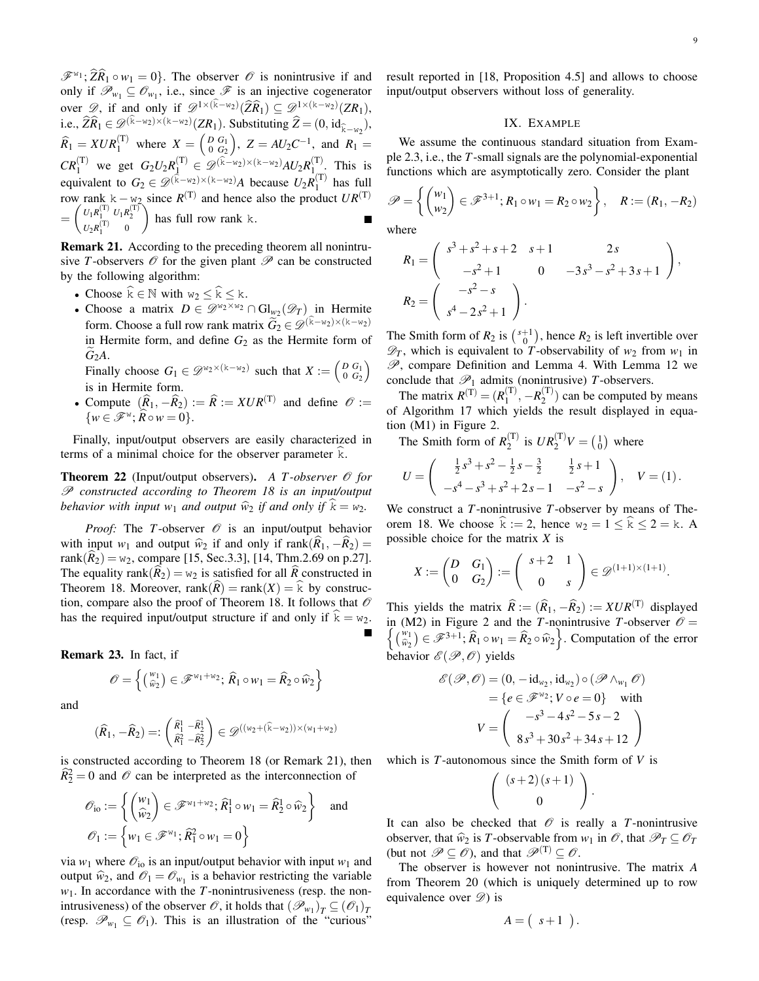$\mathscr{F}^{\mathbb{W}_1}$ ;  $\widehat{Z}\widehat{R}_1 \circ \mathbb{W}_1 = 0$ . The observer  $\mathscr O$  is nonintrusive if and only if  $\mathscr{P}_{w_1} \subseteq \mathscr{O}_{w_1}$ , i.e., since  $\mathscr{F}$  is an injective cogenerator over  $\mathscr{D}$ , if and only if  $\mathscr{D}^{1 \times (\hat{k}-w_2)}(\widehat{Z}\widehat{R}_1) \subseteq \mathscr{D}^{1 \times (\hat{k}-w_2)}(ZR_1),$ i.e.,  $\widehat{Z}\widehat{R}_1 \in \mathscr{D}^{(k-w_2)\times (k-w_2)}(ZR_1)$ . Substituting  $\widehat{Z} = (0, id_{\widehat{k}-w_2}),$  $\widehat{R}_1 = XUR_1^{(T)}$  where  $X = \begin{pmatrix} D & G_1 \\ 0 & G_2 \end{pmatrix}$ ,  $Z = AU_2C^{-1}$ , and  $R_1 =$  $CR_1^{(T)}$  we get  $G_2U_2R_1^{(T)} \in \mathscr{D}^{(\hat{k}-w_2)\times(k-w_2)}AU_2R_{1}^{(T)}$  $\prod_{1}^{(1)}$ . This is equivalent to  $G_2 \in \mathscr{D}^{(\hat{k}-w_2)\times(k-w_2)}A$  because  $U_2R_1^{(T)}$  $\begin{bmatrix} 1 \\ 1 \end{bmatrix}$  has full row rank  $k - w_2$  since  $R^{(T)}$  and hence also the product  $UR^{(T)}$  $=\left(\begin{smallmatrix} U_1 R^{(\texttt{T})}_1 & U_1 R^{(\texttt{T})}_2 \ \texttt{(T)} & \texttt{(T)} \end{smallmatrix}\right)$  $U_2 R_1^{\rm (T)}$  0 has full row rank k.

<span id="page-8-2"></span>Remark 21. According to the preceding theorem all nonintrusive *T*-observers  $\mathcal O$  for the given plant  $\mathcal P$  can be constructed by the following algorithm:

- Choose  $\hat{k} \in \mathbb{N}$  with  $w_2 \leq \hat{k} \leq k$ .
- Choose a matrix  $D \in \mathscr{D}^{\mathbb{W}_2 \times \mathbb{W}_2} \cap \mathrm{Gl}_{\mathbb{W}_2}(\mathscr{D}_T)$  in Hermite form. Choose a full row rank matrix  $\widetilde{G}_2 \in \mathscr{D}^{(k-w_2)\times(k-w_2)}$ in Hermite form, and define *G*<sup>2</sup> as the Hermite form of  $G_2A$ .

Finally choose  $G_1 \in \mathscr{D}^{\le 1} \times (\times - \times 2)$  such that  $X := \begin{pmatrix} D & G_1 \\ 0 & G_2 \end{pmatrix}$ is in Hermite form.

• Compute  $(\widehat{R}_1, -\widehat{R}_2) := \widehat{R} := XUR^{(T)}$  and define  $\mathcal{O} :=$  $\{w \in \mathscr{F}^w; \widehat{R} \circ w = 0\}.$ 

Finally, input/output observers are easily characterized in terms of a minimal choice for the observer parameter  $k$ .

**Theorem 22** (Input/output observers). *A T-observer*  $\mathcal{O}$  *for* P *constructed according to Theorem [18](#page-6-3) is an input/output behavior with input*  $w_1$  *and output*  $\hat{w}_2$  *if and only if*  $k = w_2$ *.* 

*Proof:* The *T*-observer  $\mathcal O$  is an input/output behavior with input *w*<sub>1</sub> and output  $\hat{w}_2$  if and only if rank $(\hat{R}_1, -\hat{R}_2)$  = rank $(\hat{R}_2)$  = w<sub>2</sub>, compare [\[15,](#page-9-13) Sec.3.3], [\[14,](#page-9-6) Thm.2.69 on p.27]. The equality rank $(\widehat{R}_2) = w_2$  is satisfied for all  $\widehat{R}$  constructed in Theorem [18.](#page-6-3) Moreover, rank $(R)$  = rank $(X)$  =  $\hat{k}$  by construc-tion, compare also the proof of Theorem [18.](#page-6-3) It follows that  $\mathcal O$ has the required input/output structure if and only if  $k = w_2$ .

<span id="page-8-1"></span>Remark 23. In fact, if

$$
\mathscr{O} = \left\{ \left( \begin{smallmatrix} w_1 \\ \widehat{w}_2 \end{smallmatrix} \right) \in \mathscr{F}^{w_1 + w_2}; \, \widehat{R}_1 \circ w_1 = \widehat{R}_2 \circ \widehat{w}_2 \right\}
$$

and

$$
(\widehat{R}_1, -\widehat{R}_2) =: \begin{pmatrix} \widehat{R}_1^1 & -\widehat{R}_2^1 \\ \widehat{R}_1^2 & -\widehat{R}_2^2 \end{pmatrix} \in \mathscr{D}^{((w_2 + (\widehat{k} - w_2)) \times (w_1 + w_2)}
$$

is constructed according to Theorem [18](#page-6-3) (or Remark [21\)](#page-8-2), then  $\hat{R}_2^2 = 0$  and  $\mathcal O$  can be interpreted as the interconnection of

$$
\mathcal{O}_{\text{io}} := \left\{ \begin{pmatrix} w_1 \\ \widehat{w}_2 \end{pmatrix} \in \mathcal{F}^{w_1 + w_2}; \widehat{R}_1^1 \circ w_1 = \widehat{R}_2^1 \circ \widehat{w}_2 \right\} \text{ and }
$$
  

$$
\mathcal{O}_1 := \left\{ w_1 \in \mathcal{F}^{w_1}; \widehat{R}_1^2 \circ w_1 = 0 \right\}
$$

via  $w_1$  where  $\mathcal{O}_{io}$  is an input/output behavior with input  $w_1$  and output  $\hat{w}_2$ , and  $\mathcal{O}_1 = \mathcal{O}_{w_1}$  is a behavior restricting the variable<br>w. In accordance with the T popintrusiyeness (resp. the pop  $w_1$ . In accordance with the  $T$ -nonintrusiveness (resp. the nonintrusiveness) of the observer  $\mathscr{O}$ , it holds that  $(\mathscr{P}_{w_1})_T \subseteq (\mathscr{O}_1)_T$ (resp.  $\mathscr{P}_{w_1} \subseteq \mathscr{O}_1$ ). This is an illustration of the "curious"

result reported in [\[18,](#page-9-5) Proposition 4.5] and allows to choose input/output observers without loss of generality.

# IX. EXAMPLE

<span id="page-8-0"></span>We assume the continuous standard situation from Example [2](#page-2-2)[.3,](#page-2-0) i.e., the *T*-small signals are the polynomial-exponential functions which are asymptotically zero. Consider the plant

$$
\mathscr{P} = \left\{ \begin{pmatrix} w_1 \\ w_2 \end{pmatrix} \in \mathscr{F}^{3+1}; R_1 \circ w_1 = R_2 \circ w_2 \right\}, \quad R := (R_1, -R_2)
$$

where

$$
R_1 = \begin{pmatrix} s^3 + s^2 + s + 2 & s + 1 & 2s \\ -s^2 + 1 & 0 & -3s^3 - s^2 + 3s + 1 \end{pmatrix},
$$
  
\n
$$
R_2 = \begin{pmatrix} -s^2 - s \\ s^4 - 2s^2 + 1 \end{pmatrix}.
$$

The Smith form of  $R_2$  is  $\binom{s+1}{0}$ , hence  $R_2$  is left invertible over  $\mathscr{D}_T$ , which is equivalent to *T*-observability of  $w_2$  from  $w_1$  in  $\mathscr{P}$ , compare Definition and Lemma [4.](#page-3-12) With Lemma [12](#page-4-2) we conclude that  $\mathscr{P}_1$  admits (nonintrusive) *T*-observers.

The matrix  $R^{(T)} = (R_1^{(T)})$  $\binom{T}{1}, -R_2^{(T)}$  $2^{(1)}$ ) can be computed by means of Algorithm [17](#page-6-1) which yields the result displayed in equation [\(M1\)](#page-9-22) in Figure [2.](#page-9-23)

The Smith form of  $R_2^{(T)}$  $L_2^{(T)}$  is  $UR_2^{(T)}V = \begin{pmatrix} 1 \\ 0 \end{pmatrix}$  where

$$
U = \begin{pmatrix} \frac{1}{2}s^3 + s^2 - \frac{1}{2}s - \frac{3}{2} & \frac{1}{2}s + 1 \\ -s^4 - s^3 + s^2 + 2s - 1 & -s^2 - s \end{pmatrix}, \quad V = (1).
$$

We construct a *T*-nonintrusive *T*-observer by means of The-orem [18.](#page-6-3) We choose  $\hat{k} := 2$ , hence  $w_2 = 1 \le \hat{k} \le 2 = k$ . A possible choice for the matrix *X* is

$$
X := \begin{pmatrix} D & G_1 \\ 0 & G_2 \end{pmatrix} := \begin{pmatrix} s+2 & 1 \\ 0 & s \end{pmatrix} \in \mathscr{D}^{(1+1)\times(1+1)}.
$$

This yields the matrix  $\hat{R} := (\hat{R}_1, -\hat{R}_2) := XUR^{(T)}$  displayed in [\(M2\)](#page-9-24) in Figure [2](#page-9-23) and the *T*-nonintrusive *T*-observer  $\mathcal{O} = \{ \begin{pmatrix} w_1 \\ \hat{w}_2 \end{pmatrix} \in \mathcal{F}^{3+1}; \hat{R}_1 \circ w_1 = \hat{R}_2 \circ \hat{w}_2 \}$ . Computation of the error  $(\hat{w}_1, \hat{w}_2) \in \mathscr{F}^{3+1}; \hat{R}_1 \circ w_1 = \hat{R}_2 \circ \hat{w}_2$ . Computation of the error behavior  $\mathscr{E}(\mathscr{P},\mathscr{O})$  yields

$$
\mathcal{E}(\mathcal{P}, \mathcal{O}) = (0, -id_{w_2}, id_{w_2}) \circ (\mathcal{P} \wedge_{w_1} \mathcal{O})
$$
  
=  $\{e \in \mathcal{F}^{w_2}; V \circ e = 0\}$  with  

$$
V = \begin{pmatrix} -s^3 - 4s^2 - 5s - 2 \\ 8s^3 + 30s^2 + 34s + 12 \end{pmatrix}
$$

which is *T*-autonomous since the Smith form of *V* is

$$
\left(\begin{array}{c}(s+2)(s+1)\\0\end{array}\right).
$$

It can also be checked that  $\mathcal O$  is really a *T*-nonintrusive observer, that  $\hat{w}_2$  is *T*-observable from  $w_1$  in  $\mathcal{O}$ , that  $\mathcal{P}_T \subseteq \mathcal{O}_T$ (but not  $\mathscr{P} \subseteq \mathscr{O}$ ), and that  $\mathscr{P}^{(T)} \subseteq \mathscr{O}$ .

The observer is however not nonintrusive. The matrix *A* from Theorem [20](#page-7-0) (which is uniquely determined up to row equivalence over  $\mathscr{D}$ ) is

$$
A = (s+1).
$$